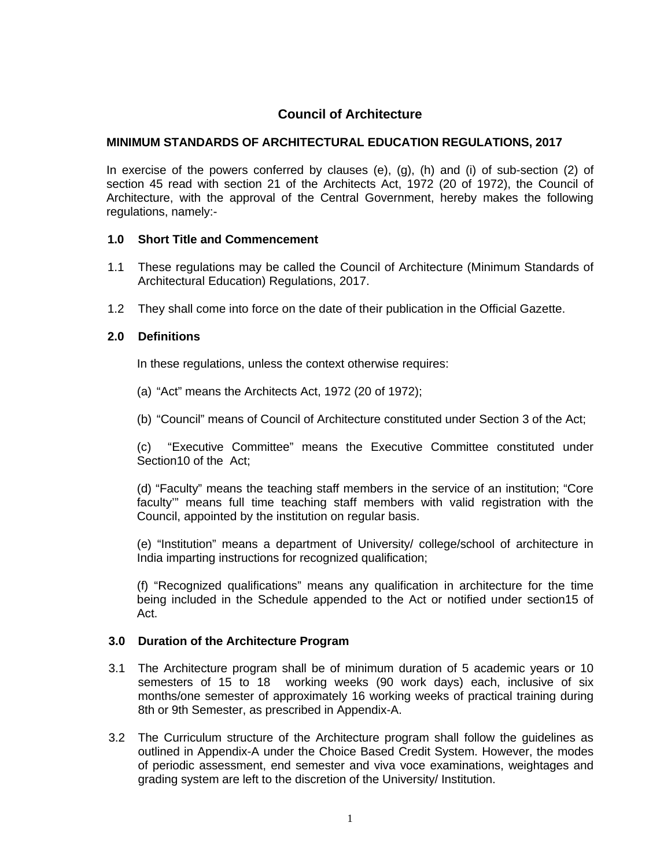# **Council of Architecture**

## **MINIMUM STANDARDS OF ARCHITECTURAL EDUCATION REGULATIONS, 2017**

In exercise of the powers conferred by clauses (e), (g), (h) and (i) of sub-section (2) of section 45 read with section 21 of the Architects Act, 1972 (20 of 1972), the Council of Architecture, with the approval of the Central Government, hereby makes the following regulations, namely:-

### **1.0 Short Title and Commencement**

- 1.1 These regulations may be called the Council of Architecture (Minimum Standards of Architectural Education) Regulations, 2017.
- 1.2 They shall come into force on the date of their publication in the Official Gazette.

## **2.0 Definitions**

In these regulations, unless the context otherwise requires:

- (a) "Act" means the Architects Act, 1972 (20 of 1972);
- (b) "Council" means of Council of Architecture constituted under Section 3 of the Act;

(c) "Executive Committee" means the Executive Committee constituted under Section10 of the Act;

(d) "Faculty" means the teaching staff members in the service of an institution; "Core faculty'" means full time teaching staff members with valid registration with the Council, appointed by the institution on regular basis.

(e) "Institution" means a department of University/ college/school of architecture in India imparting instructions for recognized qualification;

(f) "Recognized qualifications" means any qualification in architecture for the time being included in the Schedule appended to the Act or notified under section15 of Act.

#### **3.0 Duration of the Architecture Program**

- 3.1 The Architecture program shall be of minimum duration of 5 academic years or 10 semesters of 15 to 18 working weeks (90 work days) each, inclusive of six months/one semester of approximately 16 working weeks of practical training during 8th or 9th Semester, as prescribed in Appendix-A.
- 3.2 The Curriculum structure of the Architecture program shall follow the guidelines as outlined in Appendix-A under the Choice Based Credit System. However, the modes of periodic assessment, end semester and viva voce examinations, weightages and grading system are left to the discretion of the University/ Institution.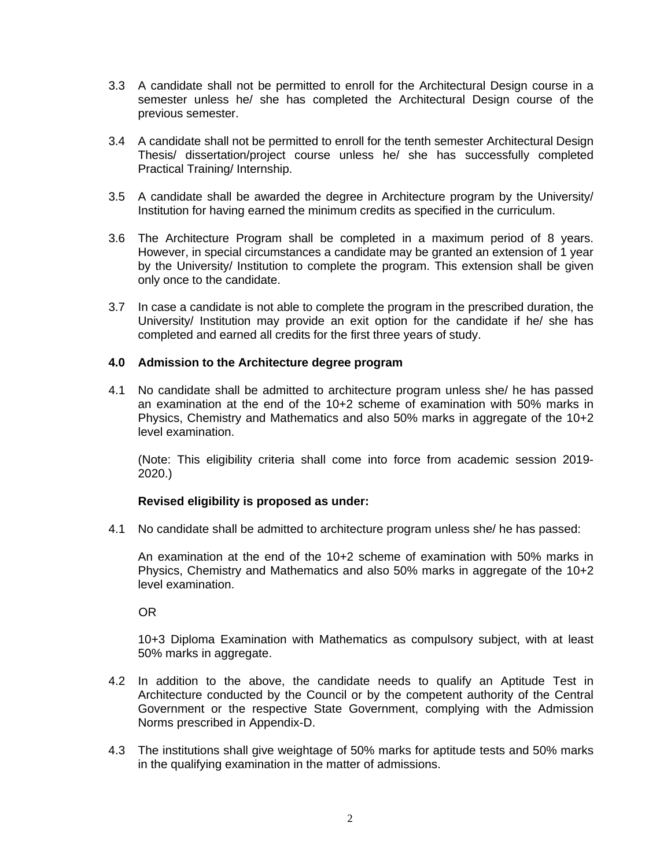- 3.3 A candidate shall not be permitted to enroll for the Architectural Design course in a semester unless he/ she has completed the Architectural Design course of the previous semester.
- 3.4 A candidate shall not be permitted to enroll for the tenth semester Architectural Design Thesis/ dissertation/project course unless he/ she has successfully completed Practical Training/ Internship.
- 3.5 A candidate shall be awarded the degree in Architecture program by the University/ Institution for having earned the minimum credits as specified in the curriculum.
- 3.6 The Architecture Program shall be completed in a maximum period of 8 years. However, in special circumstances a candidate may be granted an extension of 1 year by the University/ Institution to complete the program. This extension shall be given only once to the candidate.
- 3.7 In case a candidate is not able to complete the program in the prescribed duration, the University/ Institution may provide an exit option for the candidate if he/ she has completed and earned all credits for the first three years of study.

#### **4.0 Admission to the Architecture degree program**

4.1 No candidate shall be admitted to architecture program unless she/ he has passed an examination at the end of the 10+2 scheme of examination with 50% marks in Physics, Chemistry and Mathematics and also 50% marks in aggregate of the 10+2 level examination.

(Note: This eligibility criteria shall come into force from academic session 2019- 2020.)

## **Revised eligibility is proposed as under:**

4.1 No candidate shall be admitted to architecture program unless she/ he has passed:

An examination at the end of the 10+2 scheme of examination with 50% marks in Physics, Chemistry and Mathematics and also 50% marks in aggregate of the 10+2 level examination.

OR

 10+3 Diploma Examination with Mathematics as compulsory subject, with at least 50% marks in aggregate.

- 4.2 In addition to the above, the candidate needs to qualify an Aptitude Test in Architecture conducted by the Council or by the competent authority of the Central Government or the respective State Government, complying with the Admission Norms prescribed in Appendix-D.
- 4.3 The institutions shall give weightage of 50% marks for aptitude tests and 50% marks in the qualifying examination in the matter of admissions.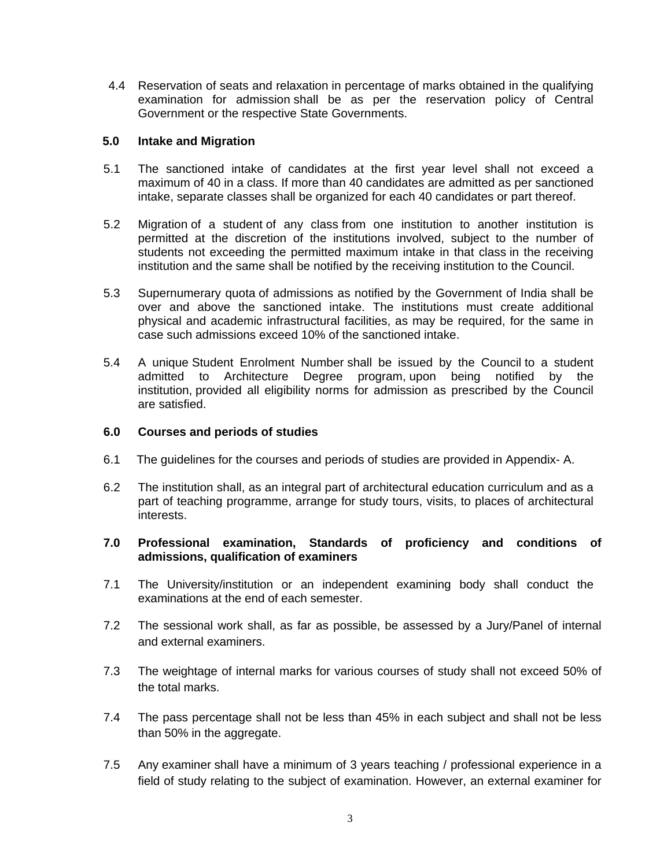4.4 Reservation of seats and relaxation in percentage of marks obtained in the qualifying examination for admission shall be as per the reservation policy of Central Government or the respective State Governments.

### **5.0 Intake and Migration**

- 5.1 The sanctioned intake of candidates at the first year level shall not exceed a maximum of 40 in a class. If more than 40 candidates are admitted as per sanctioned intake, separate classes shall be organized for each 40 candidates or part thereof.
- 5.2 Migration of a student of any class from one institution to another institution is permitted at the discretion of the institutions involved, subject to the number of students not exceeding the permitted maximum intake in that class in the receiving institution and the same shall be notified by the receiving institution to the Council.
- 5.3 Supernumerary quota of admissions as notified by the Government of India shall be over and above the sanctioned intake. The institutions must create additional physical and academic infrastructural facilities, as may be required, for the same in case such admissions exceed 10% of the sanctioned intake.
- 5.4 A unique Student Enrolment Number shall be issued by the Council to a student admitted to Architecture Degree program, upon being notified by the institution, provided all eligibility norms for admission as prescribed by the Council are satisfied.

#### **6.0 Courses and periods of studies**

- 6.1 The guidelines for the courses and periods of studies are provided in Appendix- A.
- 6.2 The institution shall, as an integral part of architectural education curriculum and as a part of teaching programme, arrange for study tours, visits, to places of architectural interests.

## **7.0 Professional examination, Standards of proficiency and conditions of admissions, qualification of examiners**

- 7.1 The University/institution or an independent examining body shall conduct the examinations at the end of each semester.
- 7.2 The sessional work shall, as far as possible, be assessed by a Jury/Panel of internal and external examiners.
- 7.3 The weightage of internal marks for various courses of study shall not exceed 50% of the total marks.
- 7.4 The pass percentage shall not be less than 45% in each subject and shall not be less than 50% in the aggregate.
- 7.5 Any examiner shall have a minimum of 3 years teaching / professional experience in a field of study relating to the subject of examination. However, an external examiner for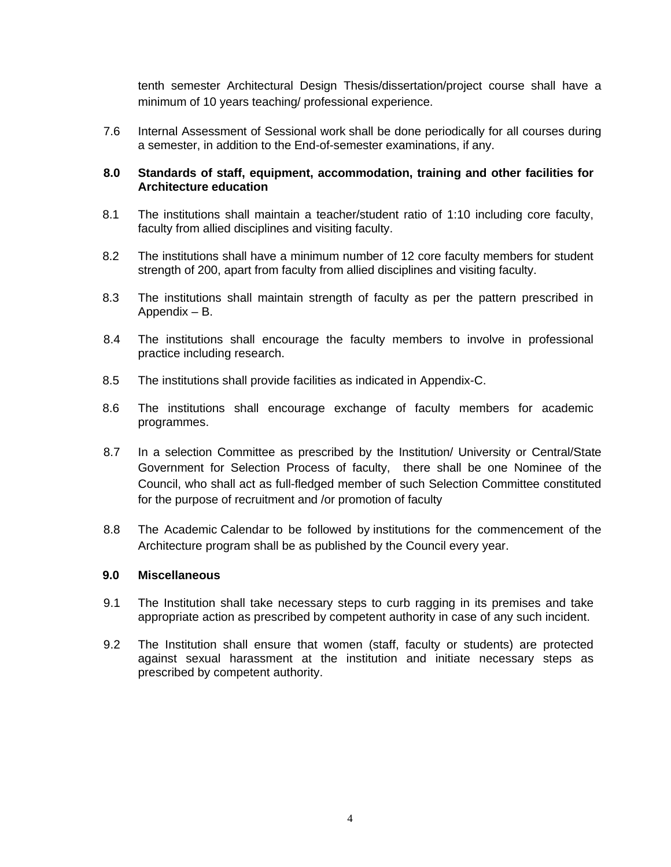tenth semester Architectural Design Thesis/dissertation/project course shall have a minimum of 10 years teaching/ professional experience.

7.6 Internal Assessment of Sessional work shall be done periodically for all courses during a semester, in addition to the End-of-semester examinations, if any.

## **8.0 Standards of staff, equipment, accommodation, training and other facilities for Architecture education**

- 8.1 The institutions shall maintain a teacher/student ratio of 1:10 including core faculty, faculty from allied disciplines and visiting faculty.
- 8.2 The institutions shall have a minimum number of 12 core faculty members for student strength of 200, apart from faculty from allied disciplines and visiting faculty.
- 8.3 The institutions shall maintain strength of faculty as per the pattern prescribed in Appendix – B.
- 8.4 The institutions shall encourage the faculty members to involve in professional practice including research.
- 8.5 The institutions shall provide facilities as indicated in Appendix-C.
- 8.6 The institutions shall encourage exchange of faculty members for academic programmes.
- 8.7 In a selection Committee as prescribed by the Institution/ University or Central/State Government for Selection Process of faculty, there shall be one Nominee of the Council, who shall act as full-fledged member of such Selection Committee constituted for the purpose of recruitment and /or promotion of faculty
- 8.8 The Academic Calendar to be followed by institutions for the commencement of the Architecture program shall be as published by the Council every year.

# **9.0 Miscellaneous**

- 9.1 The Institution shall take necessary steps to curb ragging in its premises and take appropriate action as prescribed by competent authority in case of any such incident.
- 9.2 The Institution shall ensure that women (staff, faculty or students) are protected against sexual harassment at the institution and initiate necessary steps as prescribed by competent authority.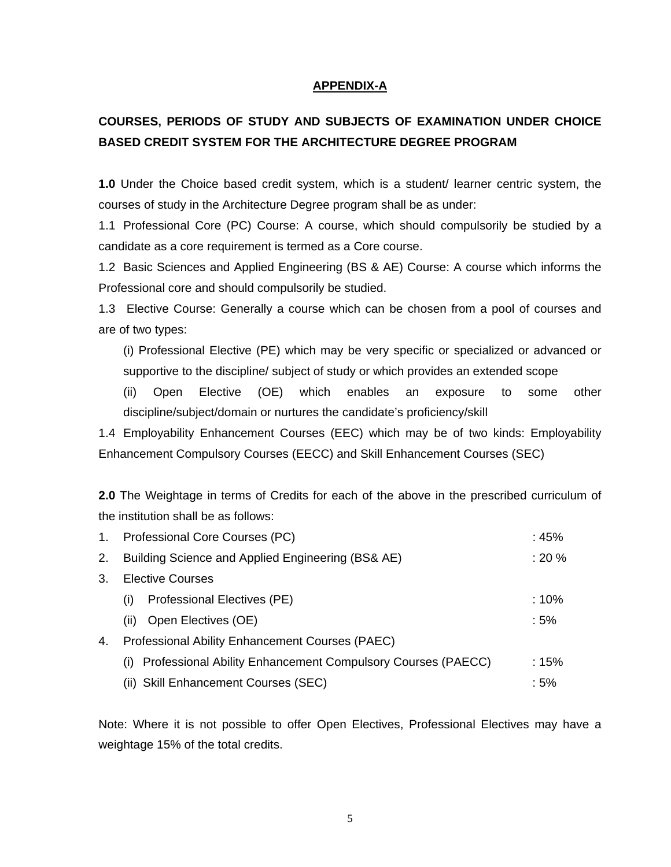### **APPENDIX-A**

# **COURSES, PERIODS OF STUDY AND SUBJECTS OF EXAMINATION UNDER CHOICE BASED CREDIT SYSTEM FOR THE ARCHITECTURE DEGREE PROGRAM**

**1.0** Under the Choice based credit system, which is a student/ learner centric system, the courses of study in the Architecture Degree program shall be as under:

1.1 Professional Core (PC) Course: A course, which should compulsorily be studied by a candidate as a core requirement is termed as a Core course.

1.2 Basic Sciences and Applied Engineering (BS & AE) Course: A course which informs the Professional core and should compulsorily be studied.

1.3 Elective Course: Generally a course which can be chosen from a pool of courses and are of two types:

(i) Professional Elective (PE) which may be very specific or specialized or advanced or supportive to the discipline/ subject of study or which provides an extended scope

(ii) Open Elective (OE) which enables an exposure to some other discipline/subject/domain or nurtures the candidate's proficiency/skill

1.4 Employability Enhancement Courses (EEC) which may be of two kinds: Employability Enhancement Compulsory Courses (EECC) and Skill Enhancement Courses (SEC)

**2.0** The Weightage in terms of Credits for each of the above in the prescribed curriculum of the institution shall be as follows:

| 1. | Professional Core Courses (PC)                                     | :45%   |  |  |  |  |  |  |  |  |
|----|--------------------------------------------------------------------|--------|--|--|--|--|--|--|--|--|
| 2. | Building Science and Applied Engineering (BS& AE)                  |        |  |  |  |  |  |  |  |  |
| 3. | Elective Courses                                                   |        |  |  |  |  |  |  |  |  |
|    | Professional Electives (PE)<br>(i)                                 | : 10%  |  |  |  |  |  |  |  |  |
|    | Open Electives (OE)<br>(ii)                                        | $:5\%$ |  |  |  |  |  |  |  |  |
| 4. | <b>Professional Ability Enhancement Courses (PAEC)</b>             |        |  |  |  |  |  |  |  |  |
|    | Professional Ability Enhancement Compulsory Courses (PAECC)<br>(1) | :15%   |  |  |  |  |  |  |  |  |
|    | (ii) Skill Enhancement Courses (SEC)                               | : 5%   |  |  |  |  |  |  |  |  |

Note: Where it is not possible to offer Open Electives, Professional Electives may have a weightage 15% of the total credits.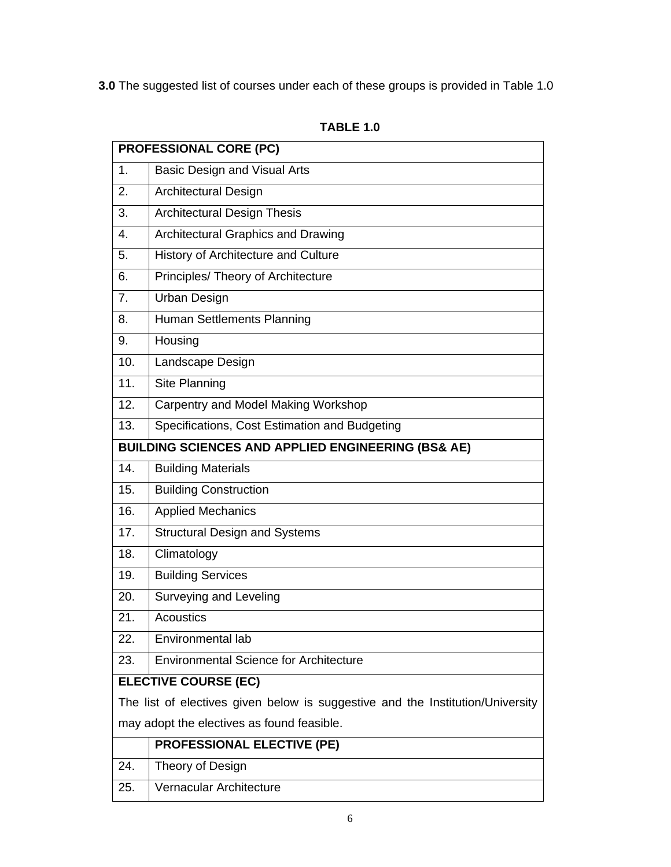**3.0** The suggested list of courses under each of these groups is provided in Table 1.0

|     | <b>PROFESSIONAL CORE (PC)</b>                                                  |
|-----|--------------------------------------------------------------------------------|
| 1.  | <b>Basic Design and Visual Arts</b>                                            |
| 2.  | <b>Architectural Design</b>                                                    |
| 3.  | <b>Architectural Design Thesis</b>                                             |
| 4.  | Architectural Graphics and Drawing                                             |
| 5.  | History of Architecture and Culture                                            |
| 6.  | Principles/ Theory of Architecture                                             |
| 7.  | <b>Urban Design</b>                                                            |
| 8.  | Human Settlements Planning                                                     |
| 9.  | Housing                                                                        |
| 10. | Landscape Design                                                               |
| 11. | Site Planning                                                                  |
| 12. | Carpentry and Model Making Workshop                                            |
| 13. | Specifications, Cost Estimation and Budgeting                                  |
|     | <b>BUILDING SCIENCES AND APPLIED ENGINEERING (BS&amp; AE)</b>                  |
| 14. | <b>Building Materials</b>                                                      |
| 15. | <b>Building Construction</b>                                                   |
| 16. | <b>Applied Mechanics</b>                                                       |
| 17. | <b>Structural Design and Systems</b>                                           |
| 18. | Climatology                                                                    |
| 19. | <b>Building Services</b>                                                       |
| 20. | Surveying and Leveling                                                         |
| 21. | <b>Acoustics</b>                                                               |
| 22. | Environmental lab                                                              |
| 23. | <b>Environmental Science for Architecture</b>                                  |
|     | <b>ELECTIVE COURSE (EC)</b>                                                    |
|     | The list of electives given below is suggestive and the Institution/University |
|     | may adopt the electives as found feasible.                                     |
|     | <b>PROFESSIONAL ELECTIVE (PE)</b>                                              |
| 24. | Theory of Design                                                               |
| 25. | Vernacular Architecture                                                        |

**TABLE 1.0**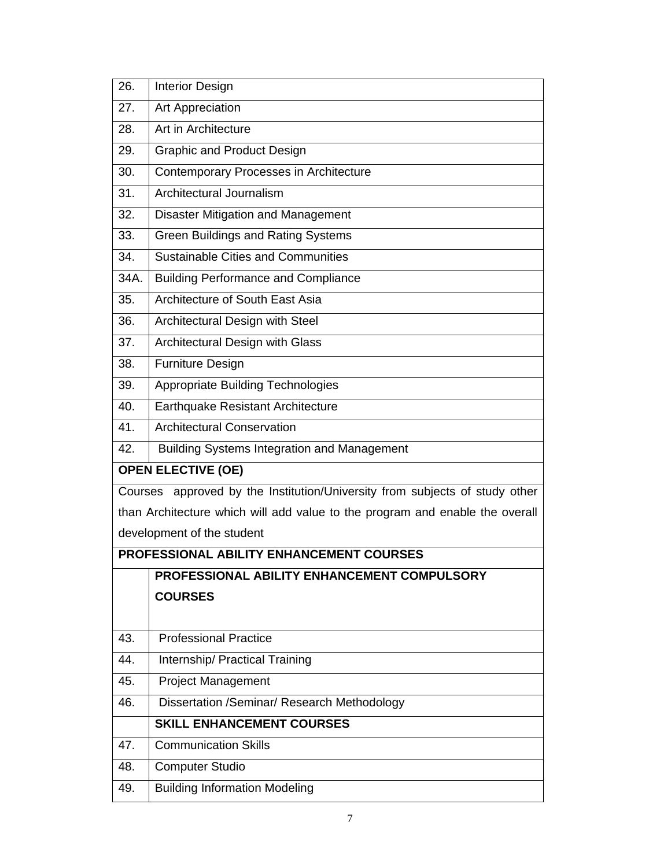| 26.     | <b>Interior Design</b>                                                       |
|---------|------------------------------------------------------------------------------|
| 27.     | Art Appreciation                                                             |
| 28.     | Art in Architecture                                                          |
| 29.     | <b>Graphic and Product Design</b>                                            |
| 30.     | Contemporary Processes in Architecture                                       |
| 31.     | Architectural Journalism                                                     |
| 32.     | <b>Disaster Mitigation and Management</b>                                    |
| 33.     | <b>Green Buildings and Rating Systems</b>                                    |
| 34.     | <b>Sustainable Cities and Communities</b>                                    |
| 34A.    | <b>Building Performance and Compliance</b>                                   |
| 35.     | Architecture of South East Asia                                              |
| 36.     | Architectural Design with Steel                                              |
| 37.     | Architectural Design with Glass                                              |
| 38.     | <b>Furniture Design</b>                                                      |
| 39.     | <b>Appropriate Building Technologies</b>                                     |
| 40.     | Earthquake Resistant Architecture                                            |
| 41.     | <b>Architectural Conservation</b>                                            |
| 42.     | <b>Building Systems Integration and Management</b>                           |
|         | <b>OPEN ELECTIVE (OE)</b>                                                    |
| Courses | approved by the Institution/University from subjects of study other          |
|         | than Architecture which will add value to the program and enable the overall |
|         | development of the student                                                   |
|         | <b>PROFESSIONAL ABILITY ENHANCEMENT COURSES</b>                              |
|         | PROFESSIONAL ABILITY ENHANCEMENT COMPULSORY                                  |
|         | <b>COURSES</b>                                                               |
|         |                                                                              |
| 43.     | <b>Professional Practice</b>                                                 |
| 44.     | Internship/ Practical Training                                               |
| 45.     | <b>Project Management</b>                                                    |
| 46.     | Dissertation /Seminar/ Research Methodology                                  |
|         | <b>SKILL ENHANCEMENT COURSES</b>                                             |
| 47.     | <b>Communication Skills</b>                                                  |
| 48.     | <b>Computer Studio</b>                                                       |
| 49.     | <b>Building Information Modeling</b>                                         |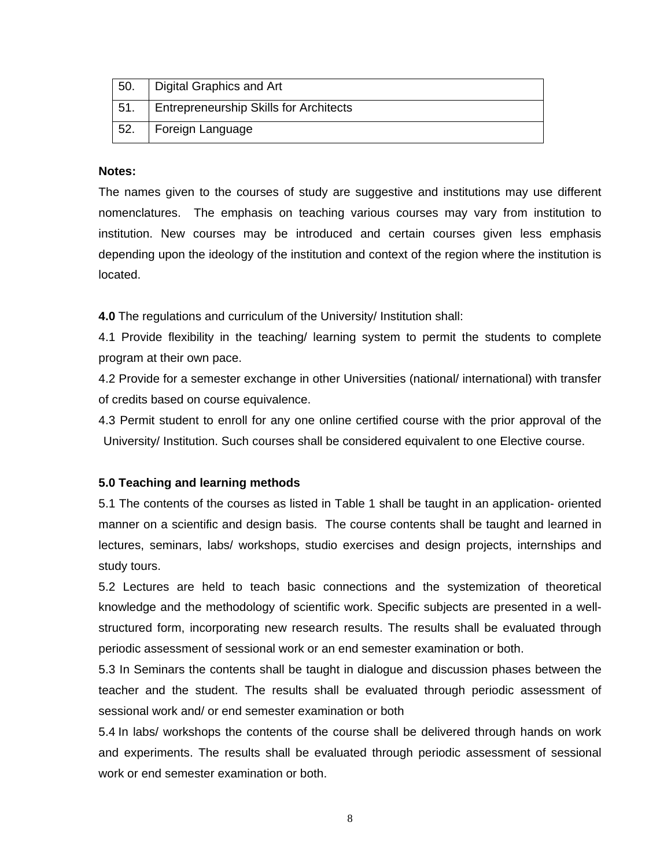| 50. | Digital Graphics and Art                      |
|-----|-----------------------------------------------|
| 51. | <b>Entrepreneurship Skills for Architects</b> |
| 52. | Foreign Language                              |

### **Notes:**

 The names given to the courses of study are suggestive and institutions may use different nomenclatures. The emphasis on teaching various courses may vary from institution to institution. New courses may be introduced and certain courses given less emphasis depending upon the ideology of the institution and context of the region where the institution is located.

**4.0** The regulations and curriculum of the University/ Institution shall:

4.1 Provide flexibility in the teaching/ learning system to permit the students to complete program at their own pace.

4.2 Provide for a semester exchange in other Universities (national/ international) with transfer of credits based on course equivalence.

4.3 Permit student to enroll for any one online certified course with the prior approval of the University/ Institution. Such courses shall be considered equivalent to one Elective course.

#### **5.0 Teaching and learning methods**

5.1 The contents of the courses as listed in Table 1 shall be taught in an application- oriented manner on a scientific and design basis. The course contents shall be taught and learned in lectures, seminars, labs/ workshops, studio exercises and design projects, internships and study tours.

5.2 Lectures are held to teach basic connections and the systemization of theoretical knowledge and the methodology of scientific work. Specific subjects are presented in a wellstructured form, incorporating new research results. The results shall be evaluated through periodic assessment of sessional work or an end semester examination or both.

5.3 In Seminars the contents shall be taught in dialogue and discussion phases between the teacher and the student. The results shall be evaluated through periodic assessment of sessional work and/ or end semester examination or both

5.4 In labs/ workshops the contents of the course shall be delivered through hands on work and experiments. The results shall be evaluated through periodic assessment of sessional work or end semester examination or both.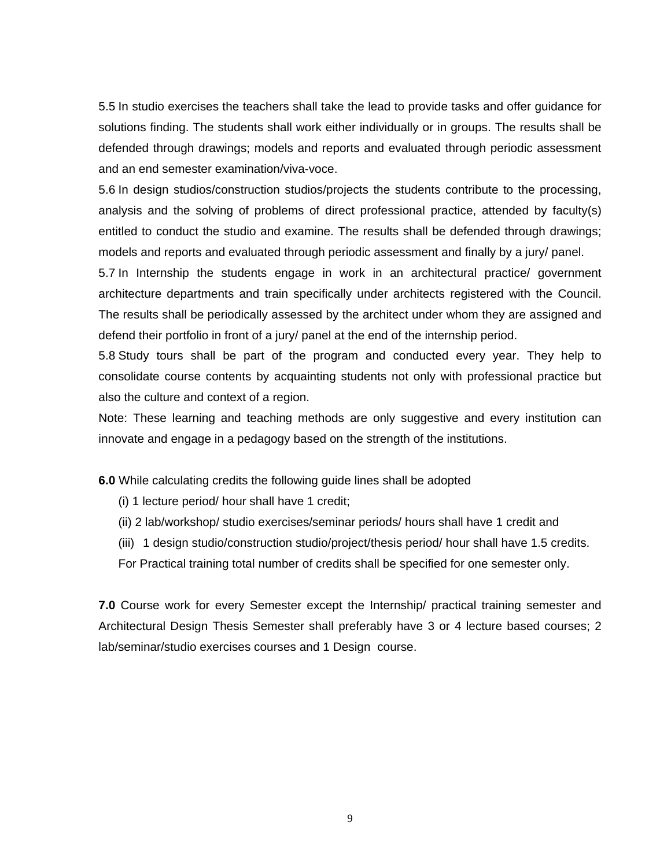5.5 In studio exercises the teachers shall take the lead to provide tasks and offer guidance for solutions finding. The students shall work either individually or in groups. The results shall be defended through drawings; models and reports and evaluated through periodic assessment and an end semester examination/viva-voce.

5.6 In design studios/construction studios/projects the students contribute to the processing, analysis and the solving of problems of direct professional practice, attended by faculty(s) entitled to conduct the studio and examine. The results shall be defended through drawings; models and reports and evaluated through periodic assessment and finally by a jury/ panel.

5.7 In Internship the students engage in work in an architectural practice/ government architecture departments and train specifically under architects registered with the Council. The results shall be periodically assessed by the architect under whom they are assigned and defend their portfolio in front of a jury/ panel at the end of the internship period.

5.8 Study tours shall be part of the program and conducted every year. They help to consolidate course contents by acquainting students not only with professional practice but also the culture and context of a region.

Note: These learning and teaching methods are only suggestive and every institution can innovate and engage in a pedagogy based on the strength of the institutions.

**6.0** While calculating credits the following guide lines shall be adopted

- (i) 1 lecture period/ hour shall have 1 credit;
- (ii) 2 lab/workshop/ studio exercises/seminar periods/ hours shall have 1 credit and
- (iii) 1 design studio/construction studio/project/thesis period/ hour shall have 1.5 credits.

For Practical training total number of credits shall be specified for one semester only.

**7.0** Course work for every Semester except the Internship/ practical training semester and Architectural Design Thesis Semester shall preferably have 3 or 4 lecture based courses; 2 lab/seminar/studio exercises courses and 1 Design course.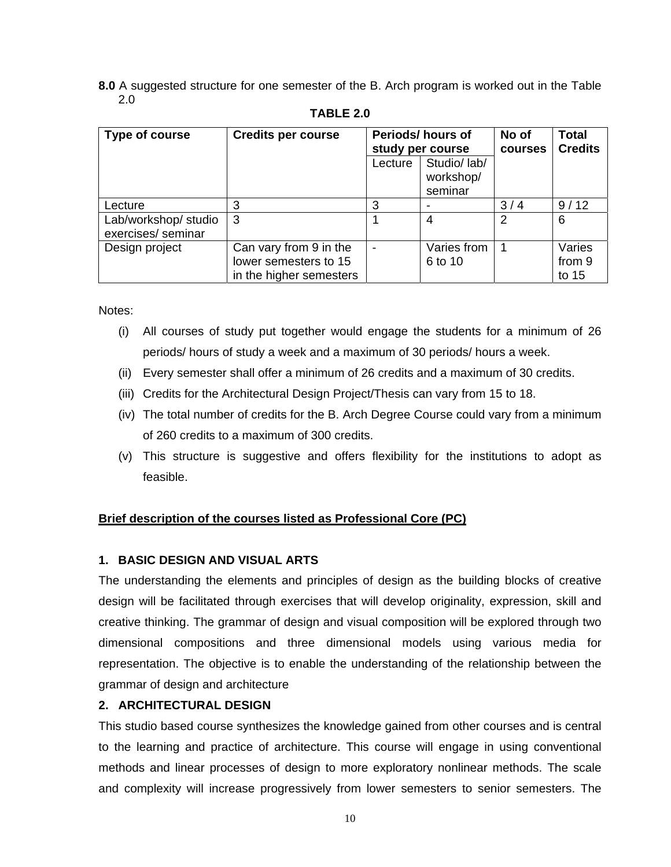**8.0** A suggested structure for one semester of the B. Arch program is worked out in the Table 2.0

| Type of course                             | <b>Credits per course</b>                                                  |         | Periods/hours of<br>study per course | No of<br>courses | <b>Total</b><br><b>Credits</b> |  |  |
|--------------------------------------------|----------------------------------------------------------------------------|---------|--------------------------------------|------------------|--------------------------------|--|--|
|                                            |                                                                            | Lecture | Studio/ lab/<br>workshop/<br>seminar |                  |                                |  |  |
| Lecture                                    |                                                                            | 3       |                                      | 3/4              | 9/12                           |  |  |
| Lab/workshop/ studio<br>exercises/ seminar | -3                                                                         |         | 4                                    | 2                | 6                              |  |  |
| Design project                             | Can vary from 9 in the<br>lower semesters to 15<br>in the higher semesters |         | Varies from<br>6 to 10               |                  | Varies<br>from 9<br>to 15      |  |  |

#### **TABLE 2.0**

Notes:

- (i) All courses of study put together would engage the students for a minimum of 26 periods/ hours of study a week and a maximum of 30 periods/ hours a week.
- (ii) Every semester shall offer a minimum of 26 credits and a maximum of 30 credits.
- (iii) Credits for the Architectural Design Project/Thesis can vary from 15 to 18.
- (iv) The total number of credits for the B. Arch Degree Course could vary from a minimum of 260 credits to a maximum of 300 credits.
- (v) This structure is suggestive and offers flexibility for the institutions to adopt as feasible.

## **Brief description of the courses listed as Professional Core (PC)**

# **1. BASIC DESIGN AND VISUAL ARTS**

 The understanding the elements and principles of design as the building blocks of creative design will be facilitated through exercises that will develop originality, expression, skill and creative thinking. The grammar of design and visual composition will be explored through two dimensional compositions and three dimensional models using various media for representation. The objective is to enable the understanding of the relationship between the grammar of design and architecture

# **2. ARCHITECTURAL DESIGN**

This studio based course synthesizes the knowledge gained from other courses and is central to the learning and practice of architecture. This course will engage in using conventional methods and linear processes of design to more exploratory nonlinear methods. The scale and complexity will increase progressively from lower semesters to senior semesters. The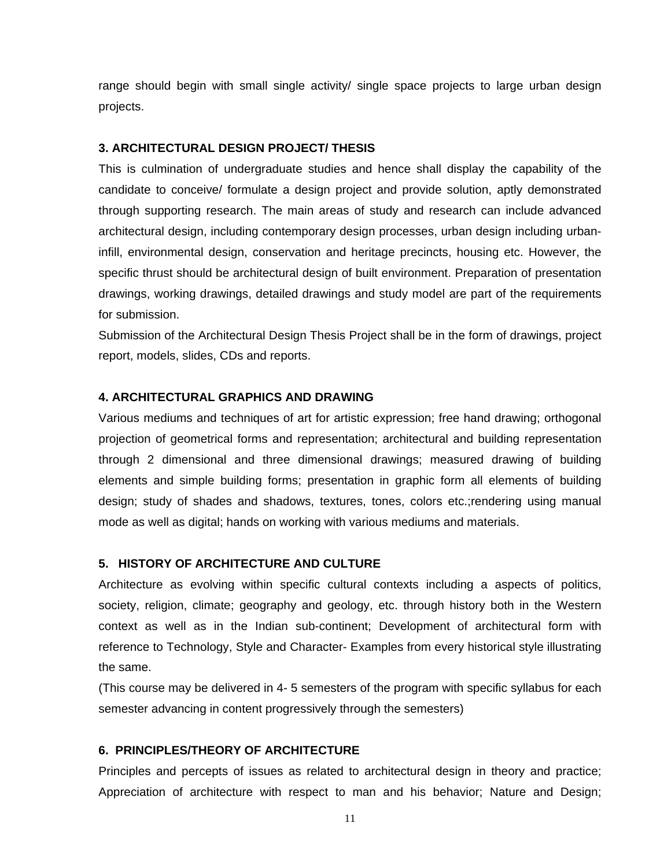range should begin with small single activity/ single space projects to large urban design projects.

#### **3. ARCHITECTURAL DESIGN PROJECT/ THESIS**

This is culmination of undergraduate studies and hence shall display the capability of the candidate to conceive/ formulate a design project and provide solution, aptly demonstrated through supporting research. The main areas of study and research can include advanced architectural design, including contemporary design processes, urban design including urbaninfill, environmental design, conservation and heritage precincts, housing etc. However, the specific thrust should be architectural design of built environment. Preparation of presentation drawings, working drawings, detailed drawings and study model are part of the requirements for submission.

Submission of the Architectural Design Thesis Project shall be in the form of drawings, project report, models, slides, CDs and reports.

## **4. ARCHITECTURAL GRAPHICS AND DRAWING**

Various mediums and techniques of art for artistic expression; free hand drawing; orthogonal projection of geometrical forms and representation; architectural and building representation through 2 dimensional and three dimensional drawings; measured drawing of building elements and simple building forms; presentation in graphic form all elements of building design; study of shades and shadows, textures, tones, colors etc.;rendering using manual mode as well as digital; hands on working with various mediums and materials.

#### **5. HISTORY OF ARCHITECTURE AND CULTURE**

Architecture as evolving within specific cultural contexts including a aspects of politics, society, religion, climate; geography and geology, etc. through history both in the Western context as well as in the Indian sub-continent; Development of architectural form with reference to Technology, Style and Character- Examples from every historical style illustrating the same.

(This course may be delivered in 4- 5 semesters of the program with specific syllabus for each semester advancing in content progressively through the semesters)

#### **6. PRINCIPLES/THEORY OF ARCHITECTURE**

Principles and percepts of issues as related to architectural design in theory and practice; Appreciation of architecture with respect to man and his behavior; Nature and Design;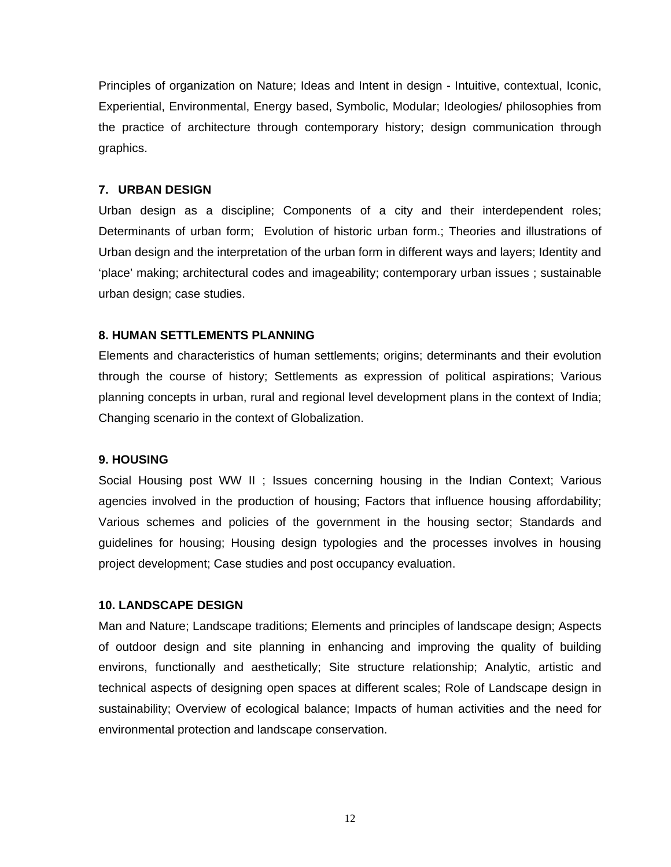Principles of organization on Nature; Ideas and Intent in design - Intuitive, contextual, Iconic, Experiential, Environmental, Energy based, Symbolic, Modular; Ideologies/ philosophies from the practice of architecture through contemporary history; design communication through graphics.

#### **7. URBAN DESIGN**

Urban design as a discipline; Components of a city and their interdependent roles; Determinants of urban form; Evolution of historic urban form.; Theories and illustrations of Urban design and the interpretation of the urban form in different ways and layers; Identity and 'place' making; architectural codes and imageability; contemporary urban issues ; sustainable urban design; case studies.

#### **8. HUMAN SETTLEMENTS PLANNING**

Elements and characteristics of human settlements; origins; determinants and their evolution through the course of history; Settlements as expression of political aspirations; Various planning concepts in urban, rural and regional level development plans in the context of India; Changing scenario in the context of Globalization.

#### **9. HOUSING**

Social Housing post WW II ; Issues concerning housing in the Indian Context; Various agencies involved in the production of housing; Factors that influence housing affordability; Various schemes and policies of the government in the housing sector; Standards and guidelines for housing; Housing design typologies and the processes involves in housing project development; Case studies and post occupancy evaluation.

#### **10. LANDSCAPE DESIGN**

Man and Nature; Landscape traditions; Elements and principles of landscape design; Aspects of outdoor design and site planning in enhancing and improving the quality of building environs, functionally and aesthetically; Site structure relationship; Analytic, artistic and technical aspects of designing open spaces at different scales; Role of Landscape design in sustainability; Overview of ecological balance; Impacts of human activities and the need for environmental protection and landscape conservation.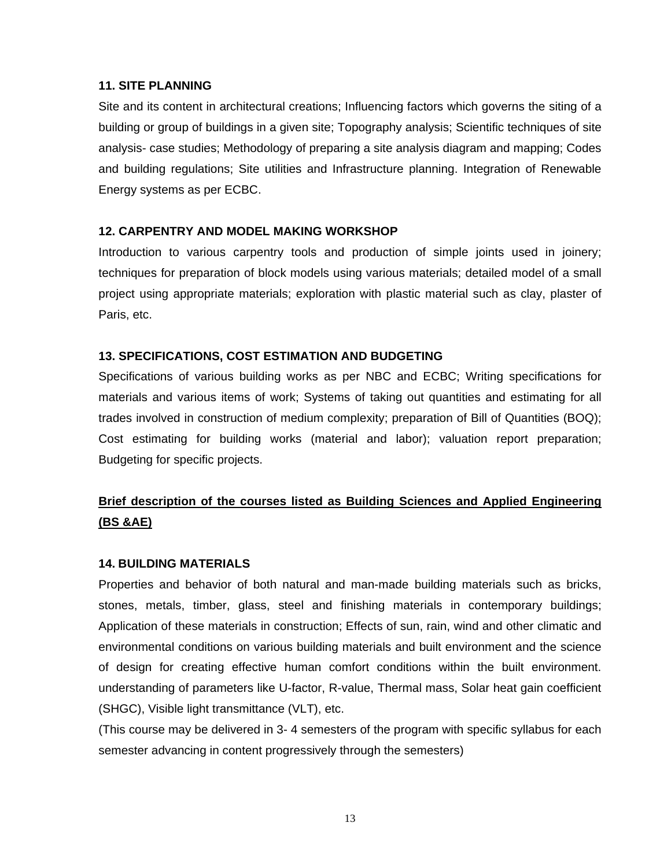### **11. SITE PLANNING**

Site and its content in architectural creations; Influencing factors which governs the siting of a building or group of buildings in a given site; Topography analysis; Scientific techniques of site analysis- case studies; Methodology of preparing a site analysis diagram and mapping; Codes and building regulations; Site utilities and Infrastructure planning. Integration of Renewable Energy systems as per ECBC.

## **12. CARPENTRY AND MODEL MAKING WORKSHOP**

Introduction to various carpentry tools and production of simple joints used in joinery; techniques for preparation of block models using various materials; detailed model of a small project using appropriate materials; exploration with plastic material such as clay, plaster of Paris, etc.

## **13. SPECIFICATIONS, COST ESTIMATION AND BUDGETING**

Specifications of various building works as per NBC and ECBC; Writing specifications for materials and various items of work; Systems of taking out quantities and estimating for all trades involved in construction of medium complexity; preparation of Bill of Quantities (BOQ); Cost estimating for building works (material and labor); valuation report preparation; Budgeting for specific projects.

# **Brief description of the courses listed as Building Sciences and Applied Engineering (BS &AE)**

#### **14. BUILDING MATERIALS**

Properties and behavior of both natural and man-made building materials such as bricks, stones, metals, timber, glass, steel and finishing materials in contemporary buildings; Application of these materials in construction; Effects of sun, rain, wind and other climatic and environmental conditions on various building materials and built environment and the science of design for creating effective human comfort conditions within the built environment. understanding of parameters like U-factor, R-value, Thermal mass, Solar heat gain coefficient (SHGC), Visible light transmittance (VLT), etc.

(This course may be delivered in 3- 4 semesters of the program with specific syllabus for each semester advancing in content progressively through the semesters)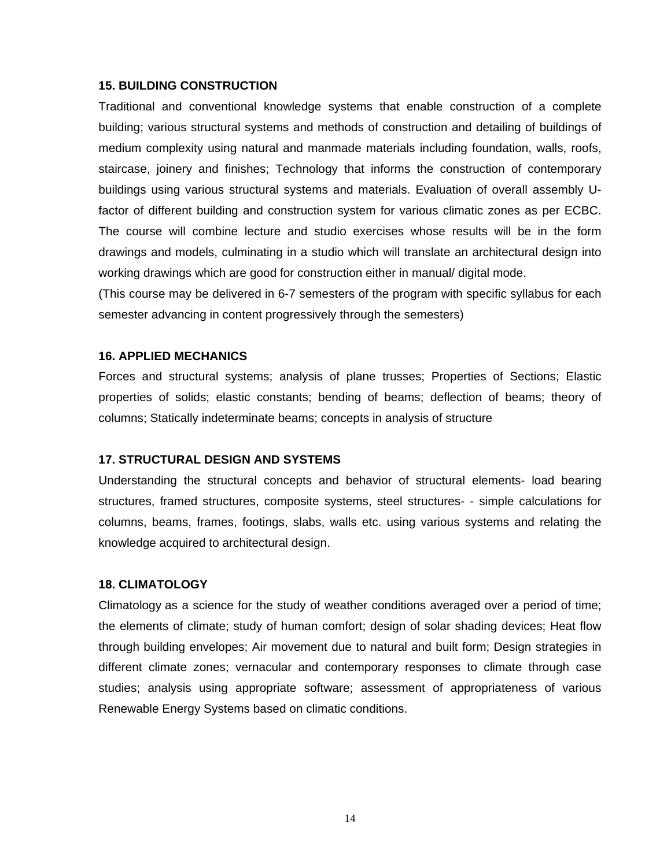#### **15. BUILDING CONSTRUCTION**

Traditional and conventional knowledge systems that enable construction of a complete building; various structural systems and methods of construction and detailing of buildings of medium complexity using natural and manmade materials including foundation, walls, roofs, staircase, joinery and finishes; Technology that informs the construction of contemporary buildings using various structural systems and materials. Evaluation of overall assembly Ufactor of different building and construction system for various climatic zones as per ECBC. The course will combine lecture and studio exercises whose results will be in the form drawings and models, culminating in a studio which will translate an architectural design into working drawings which are good for construction either in manual/ digital mode.

(This course may be delivered in 6-7 semesters of the program with specific syllabus for each semester advancing in content progressively through the semesters)

#### **16. APPLIED MECHANICS**

Forces and structural systems; analysis of plane trusses; Properties of Sections; Elastic properties of solids; elastic constants; bending of beams; deflection of beams; theory of columns; Statically indeterminate beams; concepts in analysis of structure

#### **17. STRUCTURAL DESIGN AND SYSTEMS**

Understanding the structural concepts and behavior of structural elements- load bearing structures, framed structures, composite systems, steel structures- - simple calculations for columns, beams, frames, footings, slabs, walls etc. using various systems and relating the knowledge acquired to architectural design.

#### **18. CLIMATOLOGY**

 Climatology as a science for the study of weather conditions averaged over a period of time; the elements of climate; study of human comfort; design of solar shading devices; Heat flow through building envelopes; Air movement due to natural and built form; Design strategies in different climate zones; vernacular and contemporary responses to climate through case studies; analysis using appropriate software; assessment of appropriateness of various Renewable Energy Systems based on climatic conditions.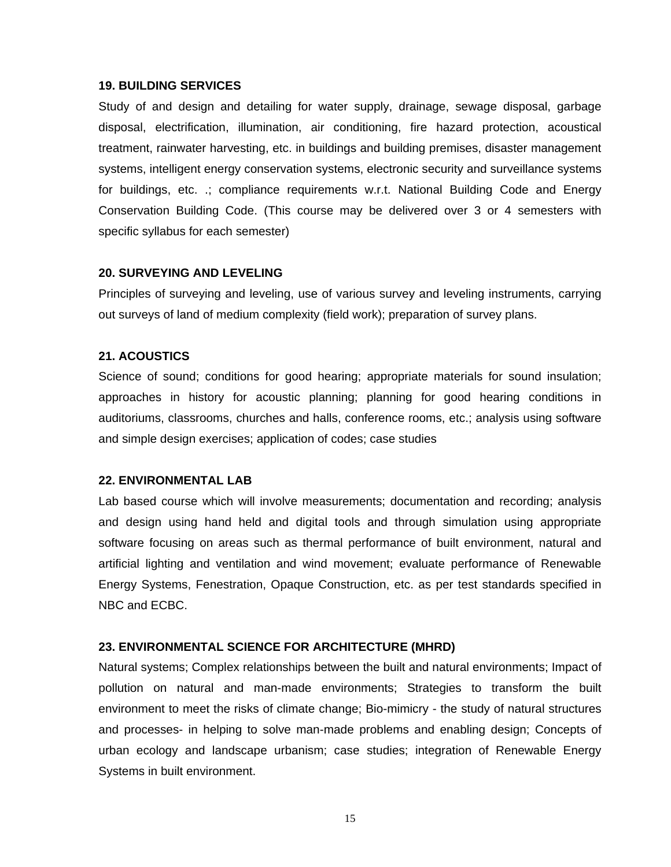#### **19. BUILDING SERVICES**

 Study of and design and detailing for water supply, drainage, sewage disposal, garbage disposal, electrification, illumination, air conditioning, fire hazard protection, acoustical treatment, rainwater harvesting, etc. in buildings and building premises, disaster management systems, intelligent energy conservation systems, electronic security and surveillance systems for buildings, etc. .; compliance requirements w.r.t. National Building Code and Energy Conservation Building Code. (This course may be delivered over 3 or 4 semesters with specific syllabus for each semester)

#### **20. SURVEYING AND LEVELING**

 Principles of surveying and leveling, use of various survey and leveling instruments, carrying out surveys of land of medium complexity (field work); preparation of survey plans.

#### **21. ACOUSTICS**

Science of sound; conditions for good hearing; appropriate materials for sound insulation; approaches in history for acoustic planning; planning for good hearing conditions in auditoriums, classrooms, churches and halls, conference rooms, etc.; analysis using software and simple design exercises; application of codes; case studies

#### **22. ENVIRONMENTAL LAB**

Lab based course which will involve measurements; documentation and recording; analysis and design using hand held and digital tools and through simulation using appropriate software focusing on areas such as thermal performance of built environment, natural and artificial lighting and ventilation and wind movement; evaluate performance of Renewable Energy Systems, Fenestration, Opaque Construction, etc. as per test standards specified in NBC and ECBC.

#### **23. ENVIRONMENTAL SCIENCE FOR ARCHITECTURE (MHRD)**

 Natural systems; Complex relationships between the built and natural environments; Impact of pollution on natural and man-made environments; Strategies to transform the built environment to meet the risks of climate change; Bio-mimicry - the study of natural structures and processes- in helping to solve man-made problems and enabling design; Concepts of urban ecology and landscape urbanism; case studies; integration of Renewable Energy Systems in built environment.

15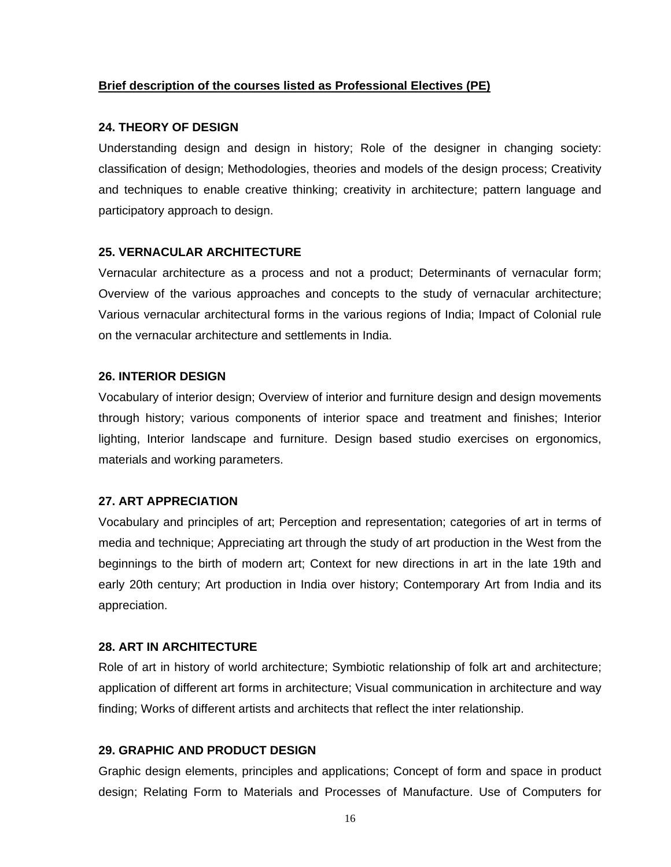### **Brief description of the courses listed as Professional Electives (PE)**

#### **24. THEORY OF DESIGN**

Understanding design and design in history; Role of the designer in changing society: classification of design; Methodologies, theories and models of the design process; Creativity and techniques to enable creative thinking; creativity in architecture; pattern language and participatory approach to design.

### **25. VERNACULAR ARCHITECTURE**

Vernacular architecture as a process and not a product; Determinants of vernacular form; Overview of the various approaches and concepts to the study of vernacular architecture; Various vernacular architectural forms in the various regions of India; Impact of Colonial rule on the vernacular architecture and settlements in India.

### **26. INTERIOR DESIGN**

Vocabulary of interior design; Overview of interior and furniture design and design movements through history; various components of interior space and treatment and finishes; Interior lighting, Interior landscape and furniture. Design based studio exercises on ergonomics, materials and working parameters.

## **27. ART APPRECIATION**

Vocabulary and principles of art; Perception and representation; categories of art in terms of media and technique; Appreciating art through the study of art production in the West from the beginnings to the birth of modern art; Context for new directions in art in the late 19th and early 20th century; Art production in India over history; Contemporary Art from India and its appreciation.

## **28. ART IN ARCHITECTURE**

Role of art in history of world architecture; Symbiotic relationship of folk art and architecture; application of different art forms in architecture; Visual communication in architecture and way finding; Works of different artists and architects that reflect the inter relationship.

## **29. GRAPHIC AND PRODUCT DESIGN**

Graphic design elements, principles and applications; Concept of form and space in product design; Relating Form to Materials and Processes of Manufacture. Use of Computers for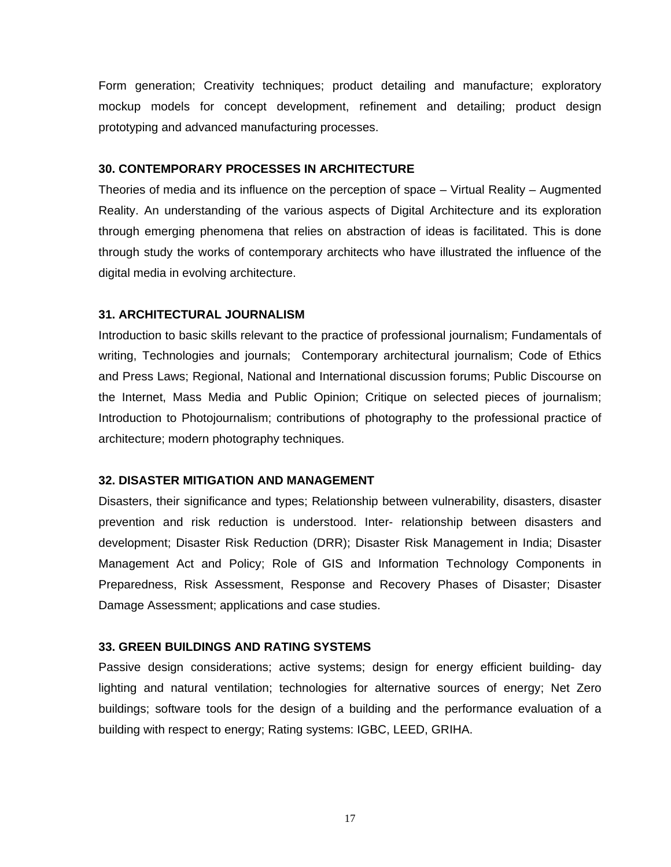Form generation; Creativity techniques; product detailing and manufacture; exploratory mockup models for concept development, refinement and detailing; product design prototyping and advanced manufacturing processes.

### **30. CONTEMPORARY PROCESSES IN ARCHITECTURE**

Theories of media and its influence on the perception of space – Virtual Reality – Augmented Reality. An understanding of the various aspects of Digital Architecture and its exploration through emerging phenomena that relies on abstraction of ideas is facilitated. This is done through study the works of contemporary architects who have illustrated the influence of the digital media in evolving architecture.

#### **31. ARCHITECTURAL JOURNALISM**

Introduction to basic skills relevant to the practice of professional journalism; Fundamentals of writing, Technologies and journals; Contemporary architectural journalism; Code of Ethics and Press Laws; Regional, National and International discussion forums; Public Discourse on the Internet, Mass Media and Public Opinion; Critique on selected pieces of journalism; Introduction to Photojournalism; contributions of photography to the professional practice of architecture; modern photography techniques.

#### **32. DISASTER MITIGATION AND MANAGEMENT**

Disasters, their significance and types; Relationship between vulnerability, disasters, disaster prevention and risk reduction is understood. Inter- relationship between disasters and development; Disaster Risk Reduction (DRR); Disaster Risk Management in India; Disaster Management Act and Policy; Role of GIS and Information Technology Components in Preparedness, Risk Assessment, Response and Recovery Phases of Disaster; Disaster Damage Assessment; applications and case studies.

#### **33. GREEN BUILDINGS AND RATING SYSTEMS**

Passive design considerations; active systems; design for energy efficient building- day lighting and natural ventilation; technologies for alternative sources of energy; Net Zero buildings; software tools for the design of a building and the performance evaluation of a building with respect to energy; Rating systems: IGBC, LEED, GRIHA.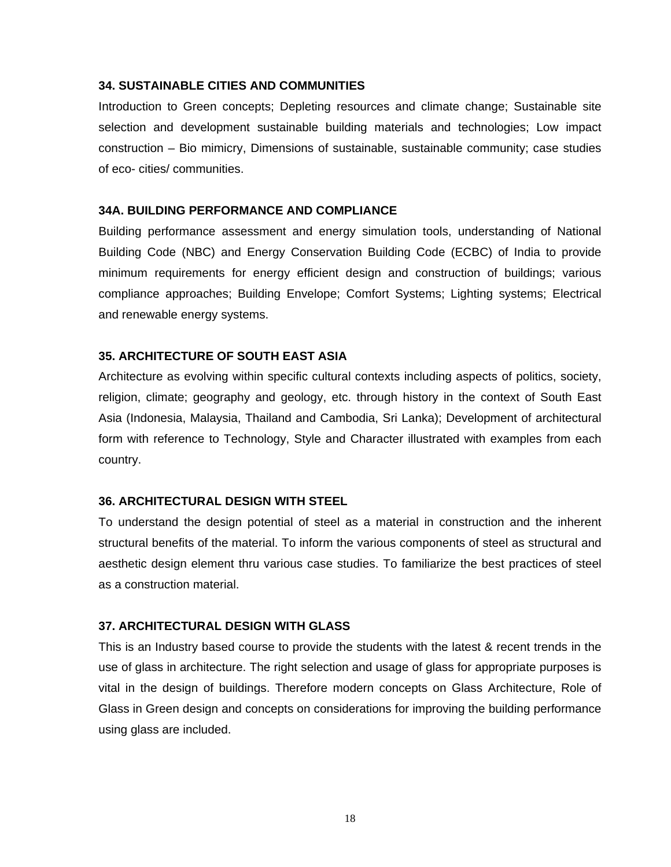#### **34. SUSTAINABLE CITIES AND COMMUNITIES**

Introduction to Green concepts; Depleting resources and climate change; Sustainable site selection and development sustainable building materials and technologies; Low impact construction – Bio mimicry, Dimensions of sustainable, sustainable community; case studies of eco- cities/ communities.

#### **34A. BUILDING PERFORMANCE AND COMPLIANCE**

Building performance assessment and energy simulation tools, understanding of National Building Code (NBC) and Energy Conservation Building Code (ECBC) of India to provide minimum requirements for energy efficient design and construction of buildings; various compliance approaches; Building Envelope; Comfort Systems; Lighting systems; Electrical and renewable energy systems.

#### **35. ARCHITECTURE OF SOUTH EAST ASIA**

Architecture as evolving within specific cultural contexts including aspects of politics, society, religion, climate; geography and geology, etc. through history in the context of South East Asia (Indonesia, Malaysia, Thailand and Cambodia, Sri Lanka); Development of architectural form with reference to Technology, Style and Character illustrated with examples from each country.

#### **36. ARCHITECTURAL DESIGN WITH STEEL**

To understand the design potential of steel as a material in construction and the inherent structural benefits of the material. To inform the various components of steel as structural and aesthetic design element thru various case studies. To familiarize the best practices of steel as a construction material.

### **37. ARCHITECTURAL DESIGN WITH GLASS**

This is an Industry based course to provide the students with the latest & recent trends in the use of glass in architecture. The right selection and usage of glass for appropriate purposes is vital in the design of buildings. Therefore modern concepts on Glass Architecture, Role of Glass in Green design and concepts on considerations for improving the building performance using glass are included.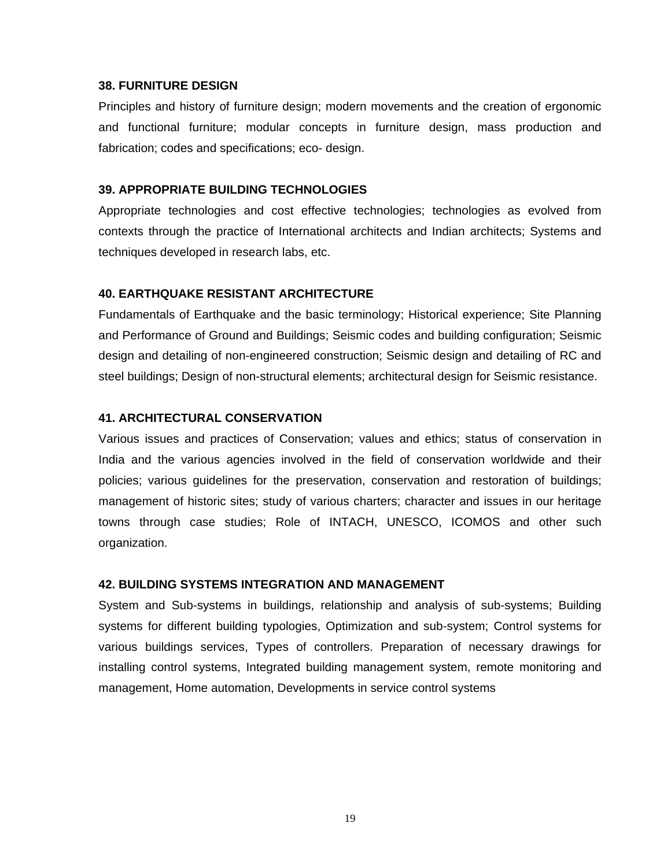#### **38. FURNITURE DESIGN**

Principles and history of furniture design; modern movements and the creation of ergonomic and functional furniture; modular concepts in furniture design, mass production and fabrication; codes and specifications; eco- design.

#### **39. APPROPRIATE BUILDING TECHNOLOGIES**

Appropriate technologies and cost effective technologies; technologies as evolved from contexts through the practice of International architects and Indian architects; Systems and techniques developed in research labs, etc.

### **40. EARTHQUAKE RESISTANT ARCHITECTURE**

Fundamentals of Earthquake and the basic terminology; Historical experience; Site Planning and Performance of Ground and Buildings; Seismic codes and building configuration; Seismic design and detailing of non-engineered construction; Seismic design and detailing of RC and steel buildings; Design of non-structural elements; architectural design for Seismic resistance.

### **41. ARCHITECTURAL CONSERVATION**

Various issues and practices of Conservation; values and ethics; status of conservation in India and the various agencies involved in the field of conservation worldwide and their policies; various guidelines for the preservation, conservation and restoration of buildings; management of historic sites; study of various charters; character and issues in our heritage towns through case studies; Role of INTACH, UNESCO, ICOMOS and other such organization.

#### **42. BUILDING SYSTEMS INTEGRATION AND MANAGEMENT**

System and Sub-systems in buildings, relationship and analysis of sub-systems; Building systems for different building typologies, Optimization and sub-system; Control systems for various buildings services, Types of controllers. Preparation of necessary drawings for installing control systems, Integrated building management system, remote monitoring and management, Home automation, Developments in service control systems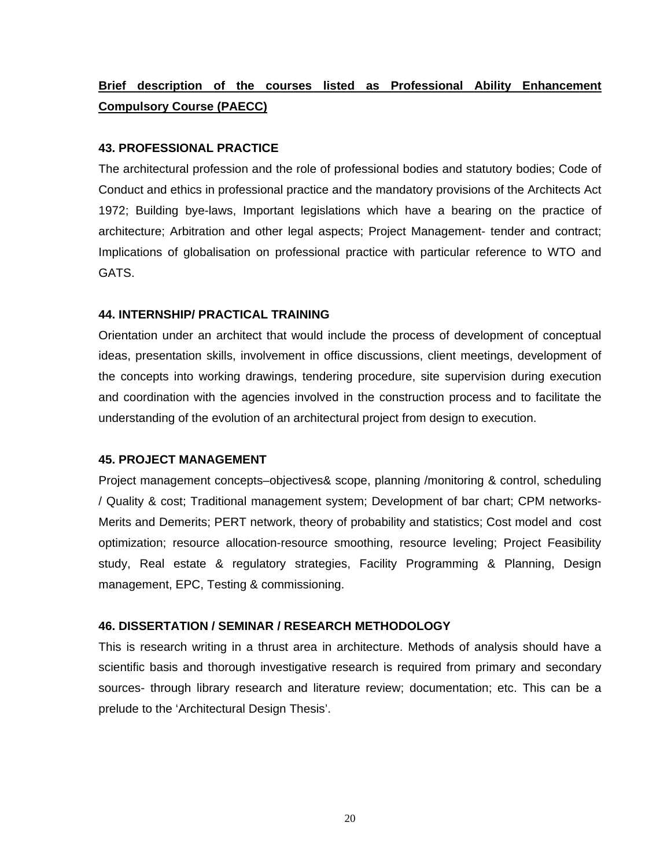# **Brief description of the courses listed as Professional Ability Enhancement Compulsory Course (PAECC)**

## **43. PROFESSIONAL PRACTICE**

The architectural profession and the role of professional bodies and statutory bodies; Code of Conduct and ethics in professional practice and the mandatory provisions of the Architects Act 1972; Building bye-laws, Important legislations which have a bearing on the practice of architecture; Arbitration and other legal aspects; Project Management- tender and contract; Implications of globalisation on professional practice with particular reference to WTO and GATS.

#### **44. INTERNSHIP/ PRACTICAL TRAINING**

Orientation under an architect that would include the process of development of conceptual ideas, presentation skills, involvement in office discussions, client meetings, development of the concepts into working drawings, tendering procedure, site supervision during execution and coordination with the agencies involved in the construction process and to facilitate the understanding of the evolution of an architectural project from design to execution.

#### **45. PROJECT MANAGEMENT**

Project management concepts–objectives& scope, planning /monitoring & control, scheduling / Quality & cost; Traditional management system; Development of bar chart; CPM networks-Merits and Demerits; PERT network, theory of probability and statistics; Cost model and cost optimization; resource allocation-resource smoothing, resource leveling; Project Feasibility study, Real estate & regulatory strategies, Facility Programming & Planning, Design management, EPC, Testing & commissioning.

### **46. DISSERTATION / SEMINAR / RESEARCH METHODOLOGY**

This is research writing in a thrust area in architecture. Methods of analysis should have a scientific basis and thorough investigative research is required from primary and secondary sources- through library research and literature review; documentation; etc. This can be a prelude to the 'Architectural Design Thesis'.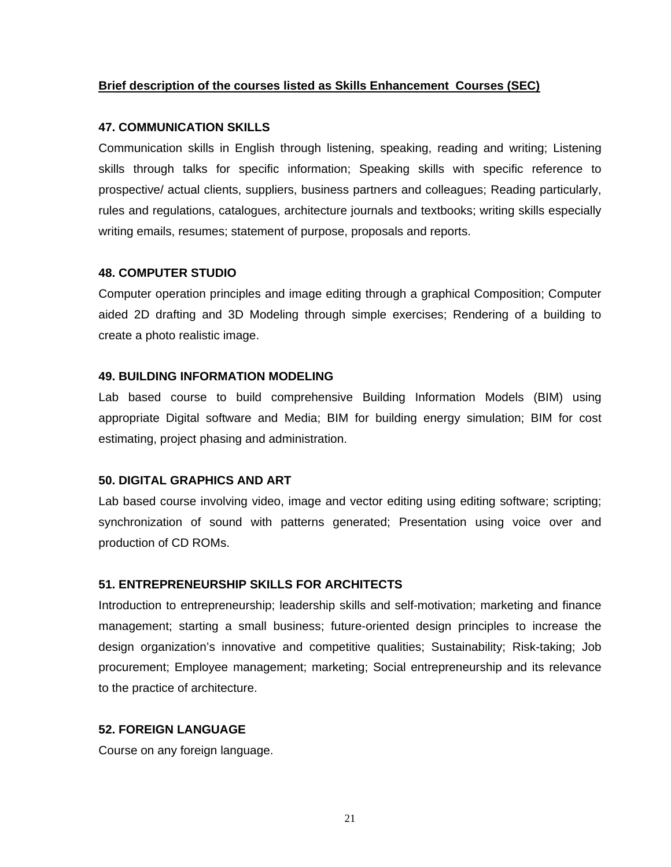#### **Brief description of the courses listed as Skills Enhancement Courses (SEC)**

#### **47. COMMUNICATION SKILLS**

Communication skills in English through listening, speaking, reading and writing; Listening skills through talks for specific information; Speaking skills with specific reference to prospective/ actual clients, suppliers, business partners and colleagues; Reading particularly, rules and regulations, catalogues, architecture journals and textbooks; writing skills especially writing emails, resumes; statement of purpose, proposals and reports.

### **48. COMPUTER STUDIO**

Computer operation principles and image editing through a graphical Composition; Computer aided 2D drafting and 3D Modeling through simple exercises; Rendering of a building to create a photo realistic image.

### **49. BUILDING INFORMATION MODELING**

Lab based course to build comprehensive Building Information Models (BIM) using appropriate Digital software and Media; BIM for building energy simulation; BIM for cost estimating, project phasing and administration.

#### **50. DIGITAL GRAPHICS AND ART**

Lab based course involving video, image and vector editing using editing software; scripting; synchronization of sound with patterns generated; Presentation using voice over and production of CD ROMs.

## **51. ENTREPRENEURSHIP SKILLS FOR ARCHITECTS**

Introduction to entrepreneurship; leadership skills and self-motivation; marketing and finance management; starting a small business; future-oriented design principles to increase the design organization's innovative and competitive qualities; Sustainability; Risk-taking; Job procurement; Employee management; marketing; Social entrepreneurship and its relevance to the practice of architecture.

## **52. FOREIGN LANGUAGE**

Course on any foreign language.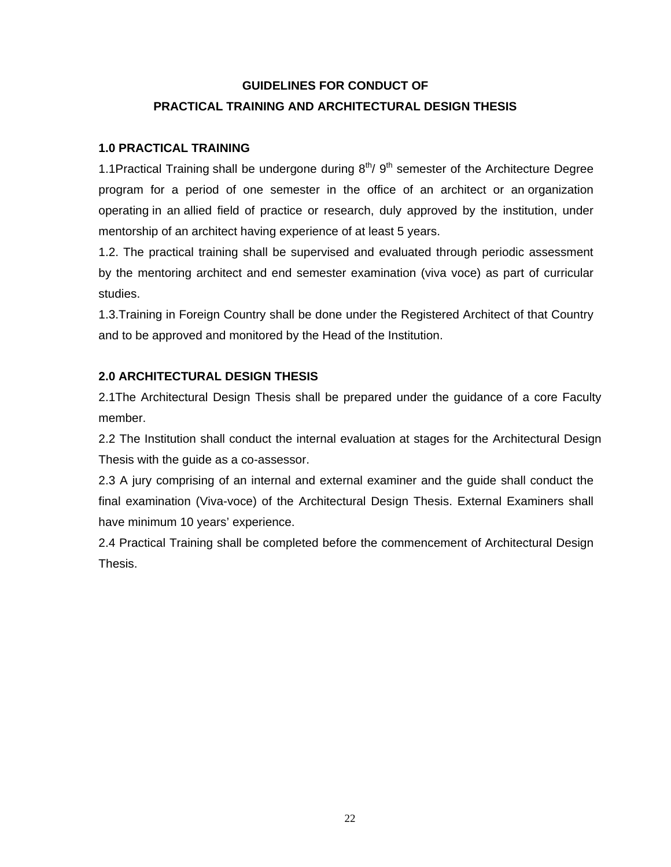# **GUIDELINES FOR CONDUCT OF PRACTICAL TRAINING AND ARCHITECTURAL DESIGN THESIS**

# **1.0 PRACTICAL TRAINING**

1.1Practical Training shall be undergone during  $8<sup>th</sup>/ 9<sup>th</sup>$  semester of the Architecture Degree program for a period of one semester in the office of an architect or an organization operating in an allied field of practice or research, duly approved by the institution, under mentorship of an architect having experience of at least 5 years.

1.2. The practical training shall be supervised and evaluated through periodic assessment by the mentoring architect and end semester examination (viva voce) as part of curricular studies.

1.3.Training in Foreign Country shall be done under the Registered Architect of that Country and to be approved and monitored by the Head of the Institution.

# **2.0 ARCHITECTURAL DESIGN THESIS**

2.1The Architectural Design Thesis shall be prepared under the guidance of a core Faculty member.

2.2 The Institution shall conduct the internal evaluation at stages for the Architectural Design Thesis with the guide as a co-assessor.

2.3 A jury comprising of an internal and external examiner and the guide shall conduct the final examination (Viva-voce) of the Architectural Design Thesis. External Examiners shall have minimum 10 years' experience.

2.4 Practical Training shall be completed before the commencement of Architectural Design Thesis.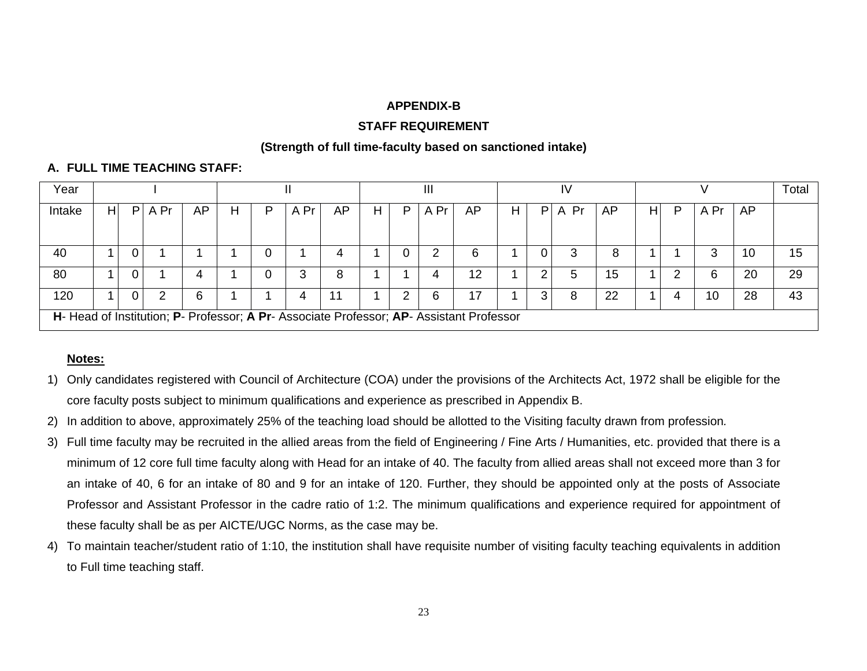#### **APPENDIX-B**

### **STAFF REQUIREMENT**

### **(Strength of full time-faculty based on sanctioned intake)**

# **A. FULL TIME TEACHING STAFF:**

| Year   | Ш |   |      |    |   |   |      |    |   |    | $\mathsf{III}$ |                                                                                          |   |                | IV      |    |   | Total |      |    |    |
|--------|---|---|------|----|---|---|------|----|---|----|----------------|------------------------------------------------------------------------------------------|---|----------------|---------|----|---|-------|------|----|----|
| Intake | H | P | A Pr | AP | н | P | A Pr | AP | H | P. | A Pr           | AP                                                                                       | н | P <sub>1</sub> | Pr<br>A | AP | н | P     | A Pr | AP |    |
|        |   |   |      |    |   |   |      |    |   |    |                |                                                                                          |   |                |         |    |   |       |      |    |    |
| 40     |   | 0 |      |    |   |   |      |    |   |    | າ              | 6                                                                                        |   | $\Omega$       |         | 8  |   |       |      | 10 | 15 |
| 80     |   | 0 |      | 4  |   |   |      | 8  |   |    |                | 12                                                                                       |   | 2              |         | 15 |   |       |      | 20 | 29 |
| 120    |   | 0 |      | 6  |   |   |      | 11 |   |    | 6              | 17                                                                                       |   | 3              |         | 22 |   |       | 10   | 28 | 43 |
|        |   |   |      |    |   |   |      |    |   |    |                | H- Head of Institution; P- Professor; A Pr- Associate Professor; AP- Assistant Professor |   |                |         |    |   |       |      |    |    |

# **Notes:**

- 1) Only candidates registered with Council of Architecture (COA) under the provisions of the Architects Act, 1972 shall be eligible for the core faculty posts subject to minimum qualifications and experience as prescribed in Appendix B.
- 2) In addition to above, approximately 25% of the teaching load should be allotted to the Visiting faculty drawn from profession*.*
- 3) Full time faculty may be recruited in the allied areas from the field of Engineering / Fine Arts / Humanities, etc. provided that there is a minimum of 12 core full time faculty along with Head for an intake of 40. The faculty from allied areas shall not exceed more than 3 for an intake of 40, 6 for an intake of 80 and 9 for an intake of 120. Further, they should be appointed only at the posts of Associate Professor and Assistant Professor in the cadre ratio of 1:2. The minimum qualifications and experience required for appointment of these faculty shall be as per AICTE/UGC Norms, as the case may be.
- 4) To maintain teacher/student ratio of 1:10, the institution shall have requisite number of visiting faculty teaching equivalents in addition to Full time teaching staff.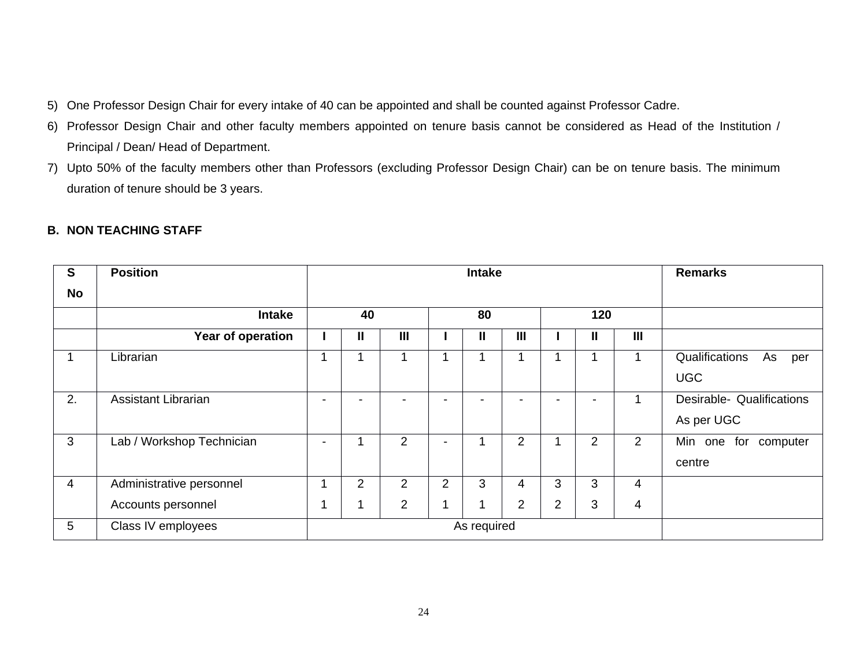- 5) One Professor Design Chair for every intake of 40 can be appointed and shall be counted against Professor Cadre.
- 6) Professor Design Chair and other faculty members appointed on tenure basis cannot be considered as Head of the Institution / Principal / Dean/ Head of Department.
- 7) Upto 50% of the faculty members other than Professors (excluding Professor Design Chair) can be on tenure basis. The minimum duration of tenure should be 3 years.

| $\mathbf{s}$   | <b>Position</b>           |                          |                |                | <b>Remarks</b> |               |                |                |                |     |                                           |
|----------------|---------------------------|--------------------------|----------------|----------------|----------------|---------------|----------------|----------------|----------------|-----|-------------------------------------------|
| No             |                           |                          |                |                |                |               |                |                |                |     |                                           |
|                | <b>Intake</b>             |                          | 40             |                |                | 80            |                |                | 120            |     |                                           |
|                | Year of operation         |                          | $\mathbf{I}$   | $\mathbf{III}$ |                | $\mathbf{II}$ | $\mathbf{III}$ |                | $\mathbf{I}$   | III |                                           |
| 1              | Librarian                 | 1                        |                |                |                |               | 1              |                |                |     | Qualifications<br>As<br>per<br><b>UGC</b> |
| 2.             | Assistant Librarian       |                          |                |                |                |               |                |                |                |     | Desirable- Qualifications<br>As per UGC   |
| 3              | Lab / Workshop Technician | $\overline{\phantom{0}}$ |                | $\overline{2}$ | ۰              |               | $\overline{2}$ |                | $\overline{2}$ | 2   | Min one<br>for<br>computer<br>centre      |
| $\overline{4}$ | Administrative personnel  | 4                        | $\overline{2}$ | $\overline{2}$ | $\overline{2}$ | 3             | 4              | 3              | 3              | 4   |                                           |
|                | Accounts personnel        |                          |                | $\overline{2}$ |                | 1             | $\overline{2}$ | $\overline{2}$ | 3              | 4   |                                           |
| 5              | Class IV employees        |                          |                |                |                | As required   |                |                |                |     |                                           |

# **B. NON TEACHING STAFF**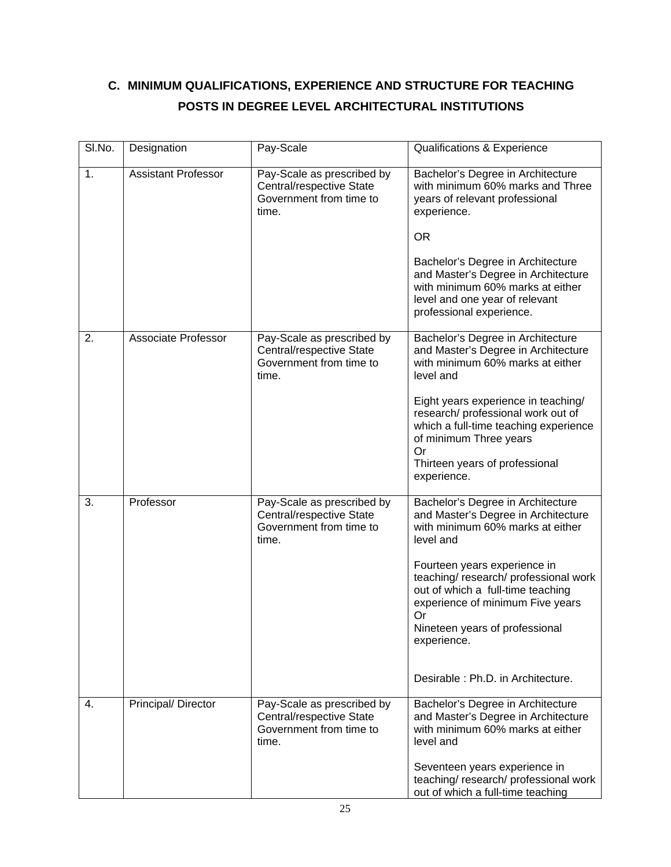# **C. MINIMUM QUALIFICATIONS, EXPERIENCE AND STRUCTURE FOR TEACHING POSTS IN DEGREE LEVEL ARCHITECTURAL INSTITUTIONS**

| SI.No. | Designation                | Pay-Scale                                                                                  | Qualifications & Experience                                                                                                                                                                                                                                                                                                                                           |
|--------|----------------------------|--------------------------------------------------------------------------------------------|-----------------------------------------------------------------------------------------------------------------------------------------------------------------------------------------------------------------------------------------------------------------------------------------------------------------------------------------------------------------------|
| 1.     | <b>Assistant Professor</b> | Pay-Scale as prescribed by<br>Central/respective State<br>Government from time to<br>time. | Bachelor's Degree in Architecture<br>with minimum 60% marks and Three<br>years of relevant professional<br>experience.<br><b>OR</b><br>Bachelor's Degree in Architecture<br>and Master's Degree in Architecture<br>with minimum 60% marks at either<br>level and one year of relevant<br>professional experience.                                                     |
| 2.     | Associate Professor        | Pay-Scale as prescribed by<br>Central/respective State<br>Government from time to<br>time. | Bachelor's Degree in Architecture<br>and Master's Degree in Architecture<br>with minimum 60% marks at either<br>level and<br>Eight years experience in teaching/<br>research/ professional work out of<br>which a full-time teaching experience<br>of minimum Three years<br>Or<br>Thirteen years of professional<br>experience.                                      |
| 3.     | Professor                  | Pay-Scale as prescribed by<br>Central/respective State<br>Government from time to<br>time. | Bachelor's Degree in Architecture<br>and Master's Degree in Architecture<br>with minimum 60% marks at either<br>level and<br>Fourteen years experience in<br>teaching/research/professional work<br>out of which a full-time teaching<br>experience of minimum Five years<br>Or<br>Nineteen years of professional<br>experience.<br>Desirable: Ph.D. in Architecture. |
| 4.     | Principal/ Director        | Pay-Scale as prescribed by<br>Central/respective State<br>Government from time to<br>time. | Bachelor's Degree in Architecture<br>and Master's Degree in Architecture<br>with minimum 60% marks at either<br>level and<br>Seventeen years experience in<br>teaching/research/professional work<br>out of which a full-time teaching                                                                                                                                |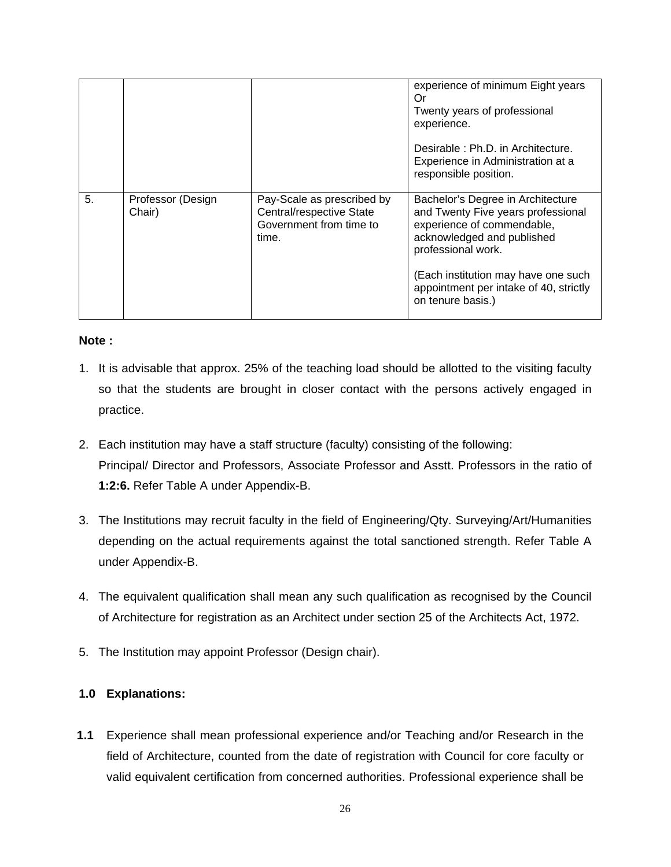|    |                             |                                                                                            | experience of minimum Eight years<br>Or<br>Twenty years of professional<br>experience.<br>Desirable: Ph.D. in Architecture.<br>Experience in Administration at a<br>responsible position.                                                                       |
|----|-----------------------------|--------------------------------------------------------------------------------------------|-----------------------------------------------------------------------------------------------------------------------------------------------------------------------------------------------------------------------------------------------------------------|
| 5. | Professor (Design<br>Chair) | Pay-Scale as prescribed by<br>Central/respective State<br>Government from time to<br>time. | Bachelor's Degree in Architecture<br>and Twenty Five years professional<br>experience of commendable,<br>acknowledged and published<br>professional work.<br>(Each institution may have one such<br>appointment per intake of 40, strictly<br>on tenure basis.) |

### **Note :**

- 1. It is advisable that approx. 25% of the teaching load should be allotted to the visiting faculty so that the students are brought in closer contact with the persons actively engaged in practice.
- 2. Each institution may have a staff structure (faculty) consisting of the following: Principal/ Director and Professors, Associate Professor and Asstt. Professors in the ratio of **1:2:6.** Refer Table A under Appendix-B.
- 3. The Institutions may recruit faculty in the field of Engineering/Qty. Surveying/Art/Humanities depending on the actual requirements against the total sanctioned strength. Refer Table A under Appendix-B.
- 4. The equivalent qualification shall mean any such qualification as recognised by the Council of Architecture for registration as an Architect under section 25 of the Architects Act, 1972.
- 5. The Institution may appoint Professor (Design chair).

# **1.0 Explanations:**

**1.1** Experience shall mean professional experience and/or Teaching and/or Research in the field of Architecture, counted from the date of registration with Council for core faculty or valid equivalent certification from concerned authorities. Professional experience shall be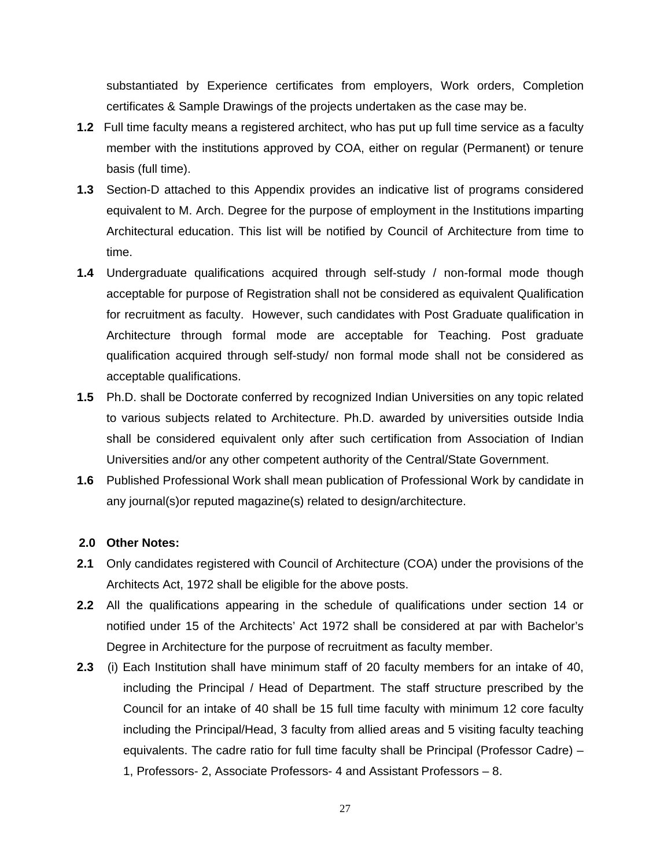substantiated by Experience certificates from employers, Work orders, Completion certificates & Sample Drawings of the projects undertaken as the case may be.

- **1.2** Full time faculty means a registered architect, who has put up full time service as a faculty member with the institutions approved by COA, either on regular (Permanent) or tenure basis (full time).
- **1.3** Section-D attached to this Appendix provides an indicative list of programs considered equivalent to M. Arch. Degree for the purpose of employment in the Institutions imparting Architectural education. This list will be notified by Council of Architecture from time to time.
- **1.4** Undergraduate qualifications acquired through self-study / non-formal mode though acceptable for purpose of Registration shall not be considered as equivalent Qualification for recruitment as faculty. However, such candidates with Post Graduate qualification in Architecture through formal mode are acceptable for Teaching. Post graduate qualification acquired through self-study/ non formal mode shall not be considered as acceptable qualifications.
- **1.5** Ph.D. shall be Doctorate conferred by recognized Indian Universities on any topic related to various subjects related to Architecture. Ph.D. awarded by universities outside India shall be considered equivalent only after such certification from Association of Indian Universities and/or any other competent authority of the Central/State Government.
- **1.6** Published Professional Work shall mean publication of Professional Work by candidate in any journal(s)or reputed magazine(s) related to design/architecture.

#### **2.0 Other Notes:**

- **2.1** Only candidates registered with Council of Architecture (COA) under the provisions of the Architects Act, 1972 shall be eligible for the above posts.
- **2.2** All the qualifications appearing in the schedule of qualifications under section 14 or notified under 15 of the Architects' Act 1972 shall be considered at par with Bachelor's Degree in Architecture for the purpose of recruitment as faculty member.
- **2.3** (i) Each Institution shall have minimum staff of 20 faculty members for an intake of 40, including the Principal / Head of Department. The staff structure prescribed by the Council for an intake of 40 shall be 15 full time faculty with minimum 12 core faculty including the Principal/Head, 3 faculty from allied areas and 5 visiting faculty teaching equivalents. The cadre ratio for full time faculty shall be Principal (Professor Cadre) – 1, Professors- 2, Associate Professors- 4 and Assistant Professors – 8.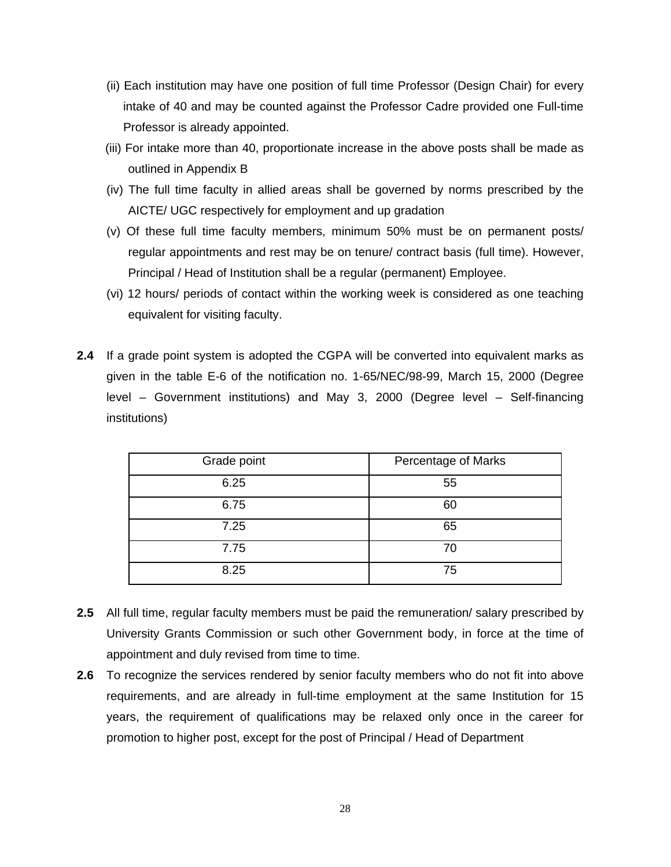- (ii) Each institution may have one position of full time Professor (Design Chair) for every intake of 40 and may be counted against the Professor Cadre provided one Full-time Professor is already appointed.
- (iii) For intake more than 40, proportionate increase in the above posts shall be made as outlined in Appendix B
- (iv) The full time faculty in allied areas shall be governed by norms prescribed by the AICTE/ UGC respectively for employment and up gradation
- (v) Of these full time faculty members, minimum 50% must be on permanent posts/ regular appointments and rest may be on tenure/ contract basis (full time). However, Principal / Head of Institution shall be a regular (permanent) Employee.
- (vi) 12 hours/ periods of contact within the working week is considered as one teaching equivalent for visiting faculty.
- **2.4** If a grade point system is adopted the CGPA will be converted into equivalent marks as given in the table E-6 of the notification no. 1-65/NEC/98-99, March 15, 2000 (Degree level – Government institutions) and May 3, 2000 (Degree level – Self-financing institutions)

| Grade point | Percentage of Marks |
|-------------|---------------------|
| 6.25        | 55                  |
| 6.75        | 60                  |
| 7.25        | 65                  |
| 7.75        | 70                  |
| 8.25        | 75                  |

- **2.5** All full time, regular faculty members must be paid the remuneration/ salary prescribed by University Grants Commission or such other Government body, in force at the time of appointment and duly revised from time to time.
- **2.6** To recognize the services rendered by senior faculty members who do not fit into above requirements, and are already in full-time employment at the same Institution for 15 years, the requirement of qualifications may be relaxed only once in the career for promotion to higher post, except for the post of Principal / Head of Department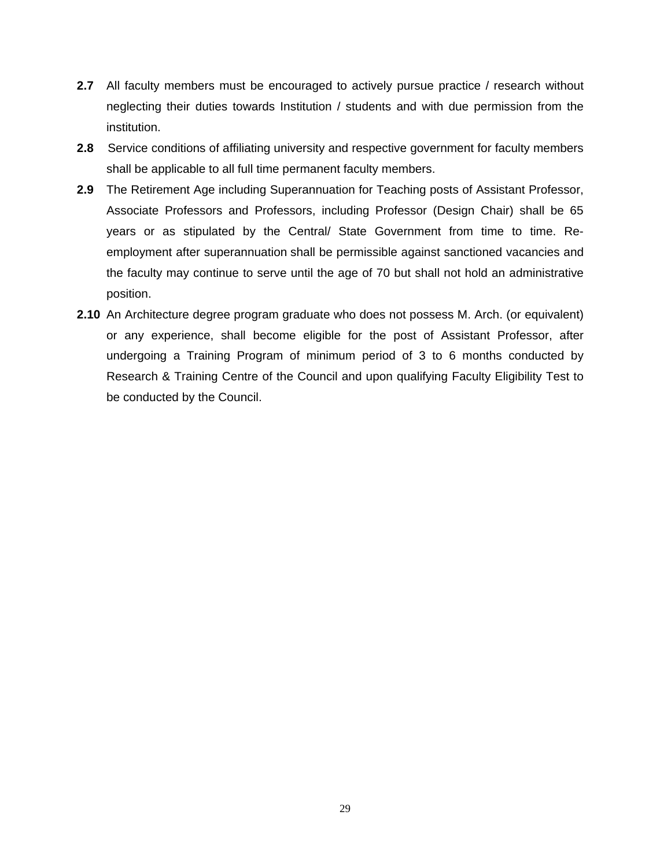- **2.7** All faculty members must be encouraged to actively pursue practice / research without neglecting their duties towards Institution / students and with due permission from the institution.
- **2.8** Service conditions of affiliating university and respective government for faculty members shall be applicable to all full time permanent faculty members.
- **2.9** The Retirement Age including Superannuation for Teaching posts of Assistant Professor, Associate Professors and Professors, including Professor (Design Chair) shall be 65 years or as stipulated by the Central/ State Government from time to time. Reemployment after superannuation shall be permissible against sanctioned vacancies and the faculty may continue to serve until the age of 70 but shall not hold an administrative position.
- **2.10** An Architecture degree program graduate who does not possess M. Arch. (or equivalent) or any experience, shall become eligible for the post of Assistant Professor, after undergoing a Training Program of minimum period of 3 to 6 months conducted by Research & Training Centre of the Council and upon qualifying Faculty Eligibility Test to be conducted by the Council.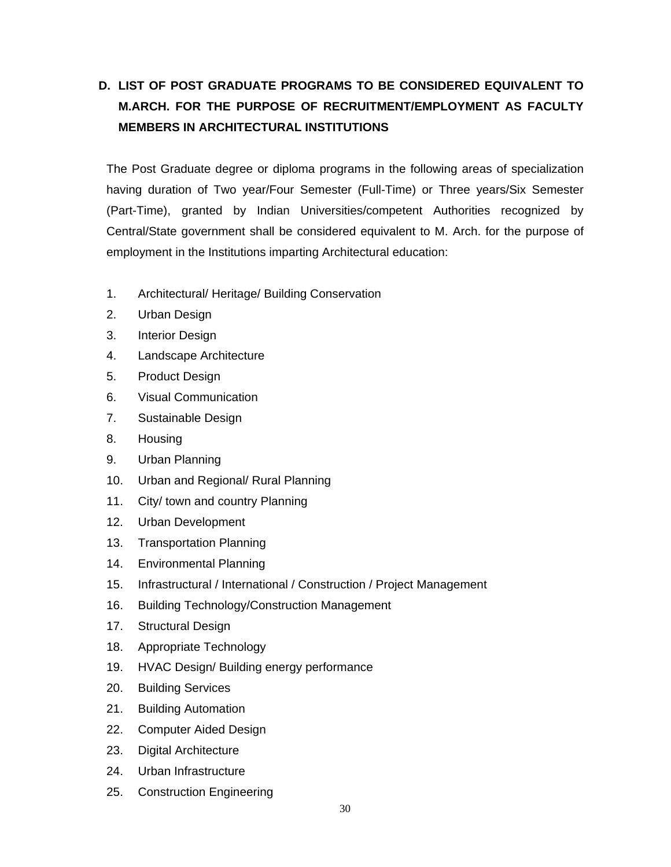# **D. LIST OF POST GRADUATE PROGRAMS TO BE CONSIDERED EQUIVALENT TO M.ARCH. FOR THE PURPOSE OF RECRUITMENT/EMPLOYMENT AS FACULTY MEMBERS IN ARCHITECTURAL INSTITUTIONS**

The Post Graduate degree or diploma programs in the following areas of specialization having duration of Two year/Four Semester (Full-Time) or Three years/Six Semester (Part-Time), granted by Indian Universities/competent Authorities recognized by Central/State government shall be considered equivalent to M. Arch. for the purpose of employment in the Institutions imparting Architectural education:

- 1. Architectural/ Heritage/ Building Conservation
- 2. Urban Design
- 3. Interior Design
- 4. Landscape Architecture
- 5. Product Design
- 6. Visual Communication
- 7. Sustainable Design
- 8. Housing
- 9. Urban Planning
- 10. Urban and Regional/ Rural Planning
- 11. City/ town and country Planning
- 12. Urban Development
- 13. Transportation Planning
- 14. Environmental Planning
- 15. Infrastructural / International / Construction / Project Management
- 16. Building Technology/Construction Management
- 17. Structural Design
- 18. Appropriate Technology
- 19. HVAC Design/ Building energy performance
- 20. Building Services
- 21. Building Automation
- 22. Computer Aided Design
- 23. Digital Architecture
- 24. Urban Infrastructure
- 25. Construction Engineering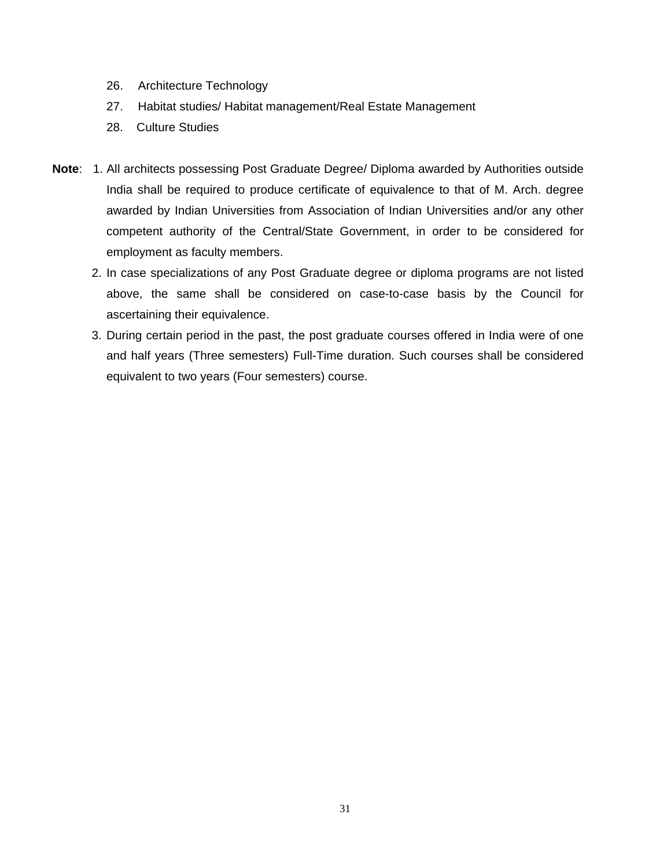- 26. Architecture Technology
- 27. Habitat studies/ Habitat management/Real Estate Management
- 28. Culture Studies
- **Note**: 1. All architects possessing Post Graduate Degree/ Diploma awarded by Authorities outside India shall be required to produce certificate of equivalence to that of M. Arch. degree awarded by Indian Universities from Association of Indian Universities and/or any other competent authority of the Central/State Government, in order to be considered for employment as faculty members.
	- 2. In case specializations of any Post Graduate degree or diploma programs are not listed above, the same shall be considered on case-to-case basis by the Council for ascertaining their equivalence.
	- 3. During certain period in the past, the post graduate courses offered in India were of one and half years (Three semesters) Full-Time duration. Such courses shall be considered equivalent to two years (Four semesters) course.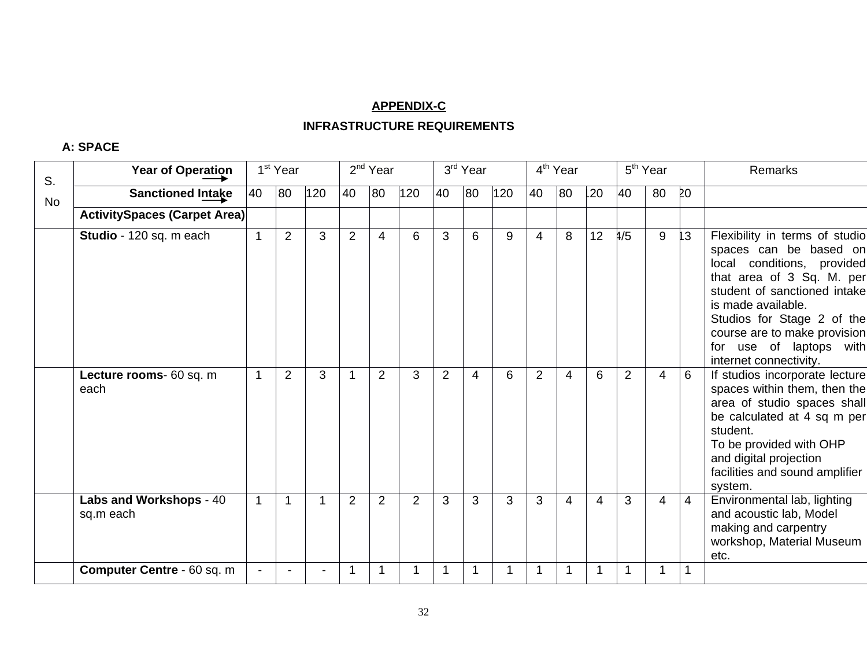#### **APPENDIX-C**

# **INFRASTRUCTURE REQUIREMENTS**

#### **A: SPACE**

| S.        | <b>Year of Operation</b>             |    | 1 <sup>st</sup> Year |     |                | 2 <sup>nd</sup> Year |                |    | 3rd Year |     |                | 4 <sup>th</sup> Year |    |                | 5 <sup>th</sup> Year |    | <b>Remarks</b>                                                                                                                                                                                                                                                                               |
|-----------|--------------------------------------|----|----------------------|-----|----------------|----------------------|----------------|----|----------|-----|----------------|----------------------|----|----------------|----------------------|----|----------------------------------------------------------------------------------------------------------------------------------------------------------------------------------------------------------------------------------------------------------------------------------------------|
| <b>No</b> | <b>Sanctioned Intake</b>             | 40 | 80                   | 120 | 40             | 80                   | 120            | 40 | 80       | 120 | 40             | 80                   | 20 | 40             | 80                   | 20 |                                                                                                                                                                                                                                                                                              |
|           | <b>ActivitySpaces (Carpet Area)</b>  |    |                      |     |                |                      |                |    |          |     |                |                      |    |                |                      |    |                                                                                                                                                                                                                                                                                              |
|           | Studio - 120 sq. m each              |    | 2                    | 3   | $\overline{2}$ | 4                    | 6              | 3  | 6        | 9   | 4              | 8                    | 12 | 1/5            | 9                    | 13 | Flexibility in terms of studio<br>spaces can be based on<br>local conditions, provided<br>that area of 3 Sq. M. per<br>student of sanctioned intake<br>is made available.<br>Studios for Stage 2 of the<br>course are to make provision<br>for use of laptops with<br>internet connectivity. |
|           | Lecture rooms- 60 sq. m<br>each      |    | 2                    | 3   |                | $\overline{2}$       | 3              | 2  | 4        | 6   | $\overline{2}$ | 4                    | 6  | $\overline{2}$ | 4                    | 6  | If studios incorporate lecture<br>spaces within them, then the<br>area of studio spaces shall<br>be calculated at 4 sq m per<br>student.<br>To be provided with OHP<br>and digital projection<br>facilities and sound amplifier<br>system.                                                   |
|           | Labs and Workshops - 40<br>sq.m each | 1  | 1                    |     | $\overline{2}$ | $\overline{2}$       | $\overline{2}$ | 3  | 3        | 3   | 3              | 4                    | 4  | 3              | 4                    | 4  | Environmental lab, lighting<br>and acoustic lab, Model<br>making and carpentry<br>workshop, Material Museum<br>etc.                                                                                                                                                                          |
|           | <b>Computer Centre - 60 sq. m</b>    |    |                      |     |                |                      |                |    |          |     |                |                      |    |                | 1                    |    |                                                                                                                                                                                                                                                                                              |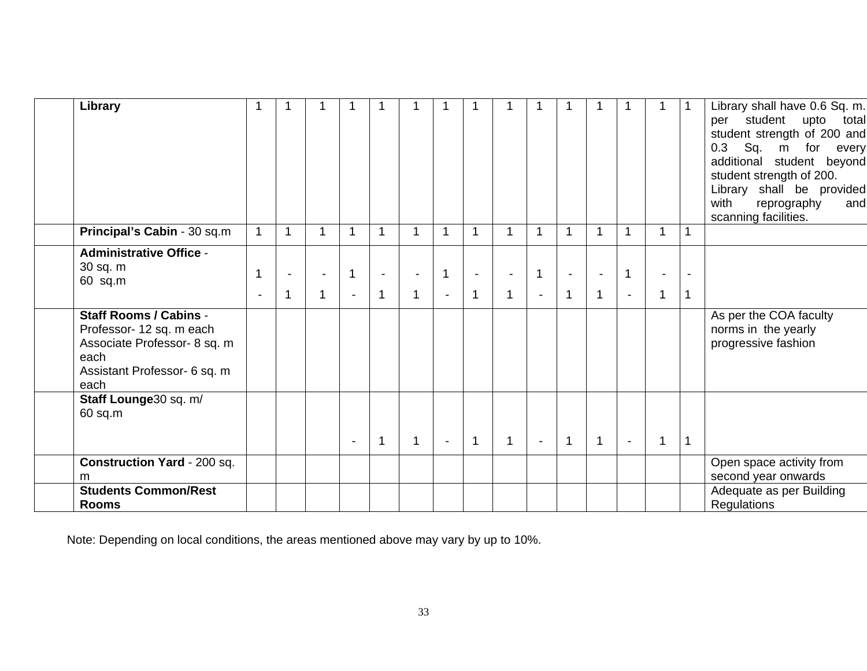| Library                                                                                                                                   |                     |    |   |                                  |                     |             |                                  |                |   |                                  |             |             |                                |                                |             | Library shall have 0.6 Sq. m.<br>student<br>upto<br>total<br>per<br>student strength of 200 and<br>0.3 Sq. m for every<br>additional student beyond<br>student strength of 200.<br>Library shall be provided<br>with<br>reprography<br>and<br>scanning facilities. |
|-------------------------------------------------------------------------------------------------------------------------------------------|---------------------|----|---|----------------------------------|---------------------|-------------|----------------------------------|----------------|---|----------------------------------|-------------|-------------|--------------------------------|--------------------------------|-------------|--------------------------------------------------------------------------------------------------------------------------------------------------------------------------------------------------------------------------------------------------------------------|
| Principal's Cabin - 30 sq.m                                                                                                               | $\mathbf 1$         | -1 | 1 | -1                               |                     | 1           | 1                                | 1              | 1 | -1                               | $\mathbf 1$ | 1           |                                | 1                              | $\mathbf 1$ |                                                                                                                                                                                                                                                                    |
| <b>Administrative Office -</b><br>30 sq. m<br>60 sq.m                                                                                     | 1<br>$\blacksquare$ | -1 | 1 | $\overline{1}$<br>$\blacksquare$ | $\blacksquare$<br>1 | $\mathbf 1$ | $\overline{1}$<br>$\blacksquare$ | $\mathbf 1$    | 1 | $\overline{1}$<br>$\blacksquare$ | $\mathbf 1$ | $\mathbf 1$ | $\mathbf{1}$<br>$\blacksquare$ | $\blacksquare$<br>$\mathbf{1}$ | -1          |                                                                                                                                                                                                                                                                    |
| <b>Staff Rooms / Cabins -</b><br>Professor- 12 sq. m each<br>Associate Professor- 8 sq. m<br>each<br>Assistant Professor- 6 sq. m<br>each |                     |    |   |                                  |                     |             |                                  |                |   |                                  |             |             |                                |                                |             | As per the COA faculty<br>norms in the yearly<br>progressive fashion                                                                                                                                                                                               |
| Staff Lounge30 sq. m/<br>$60$ sq.m                                                                                                        |                     |    |   |                                  | 1                   | $\mathbf 1$ | $\blacksquare$                   | $\overline{1}$ | 1 | $\blacksquare$                   | 1           | $\mathbf 1$ | $\blacksquare$                 | 1                              | $\mathbf 1$ |                                                                                                                                                                                                                                                                    |
| <b>Construction Yard - 200 sq.</b><br>m                                                                                                   |                     |    |   |                                  |                     |             |                                  |                |   |                                  |             |             |                                |                                |             | Open space activity from<br>second year onwards                                                                                                                                                                                                                    |
| <b>Students Common/Rest</b><br><b>Rooms</b>                                                                                               |                     |    |   |                                  |                     |             |                                  |                |   |                                  |             |             |                                |                                |             | Adequate as per Building<br>Regulations                                                                                                                                                                                                                            |

Note: Depending on local conditions, the areas mentioned above may vary by up to 10%.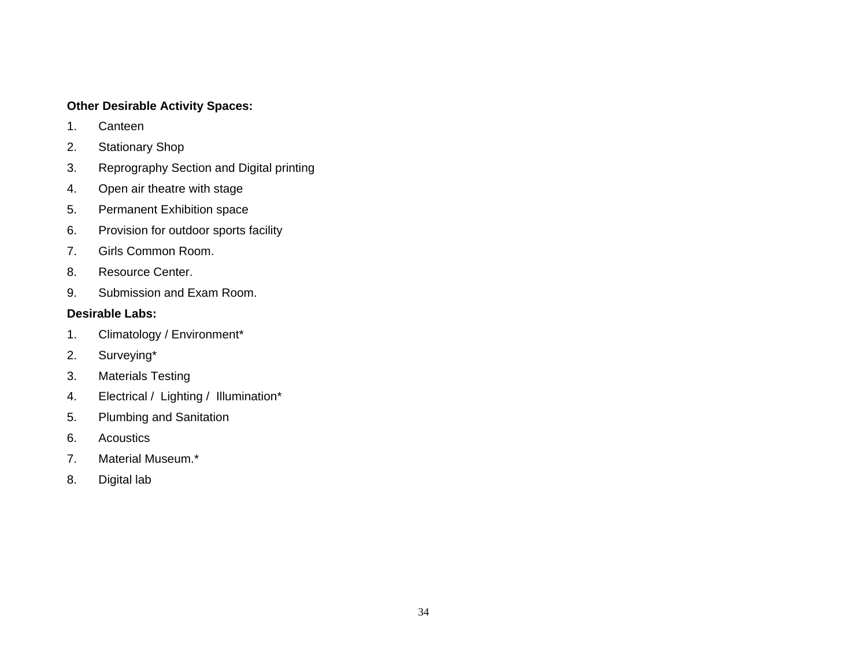## **Other Desirable Activity Spaces:**

- 1. Canteen
- 2. Stationary Shop
- 3. Reprography Section and Digital printing
- 4. Open air theatre with stage
- 5. Permanent Exhibition space
- 6. Provision for outdoor sports facility
- 7. Girls Common Room.
- 8. Resource Center.
- 9. Submission and Exam Room.

# **Desirable Labs:**

- 1. Climatology / Environment\*
- 2. Surveying\*
- 3. Materials Testing
- 4. Electrical / Lighting / Illumination\*
- 5. Plumbing and Sanitation
- 6. Acoustics
- 7. Material Museum.\*
- 8. Digital lab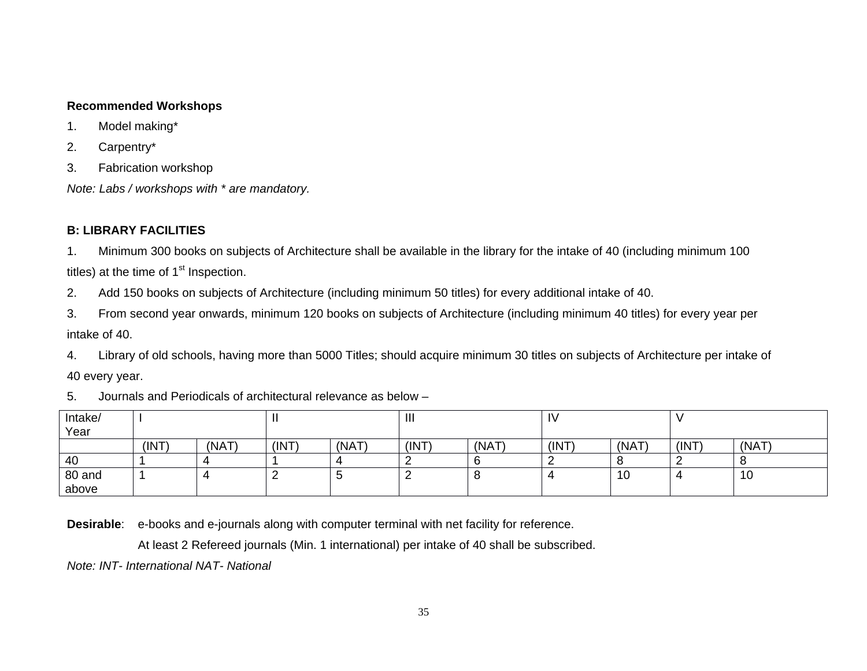### **Recommended Workshops**

- 1. Model making\*
- 2. Carpentry\*
- 3. Fabrication workshop

*Note: Labs / workshops with \* are mandatory.* 

# **B: LIBRARY FACILITIES**

1. Minimum 300 books on subjects of Architecture shall be available in the library for the intake of 40 (including minimum 100 titles) at the time of  $1<sup>st</sup>$  Inspection.

2. Add 150 books on subjects of Architecture (including minimum 50 titles) for every additional intake of 40.

3. From second year onwards, minimum 120 books on subjects of Architecture (including minimum 40 titles) for every year per intake of 40.

4. Library of old schools, having more than 5000 Titles; should acquire minimum 30 titles on subjects of Architecture per intake of

40 every year.

5. Journals and Periodicals of architectural relevance as below –

| Intake/<br>Year |      |       |       |       | $\mathbf{  }$ |       | I٧    |       |       |      |
|-----------------|------|-------|-------|-------|---------------|-------|-------|-------|-------|------|
|                 | (INT | (NAT) | (INT) | (NAT) | (INT          | (NAT) | (INT) | (NAT) | (INT) | (NAT |
| 40              |      |       |       |       |               |       |       |       |       |      |
| 80 and          |      |       |       | ີ     |               |       |       | 10    |       | 10   |
| above           |      |       |       |       |               |       |       |       |       |      |

**Desirable**: e-books and e-journals along with computer terminal with net facility for reference.

At least 2 Refereed journals (Min. 1 international) per intake of 40 shall be subscribed.

*Note: INT- International NAT- National*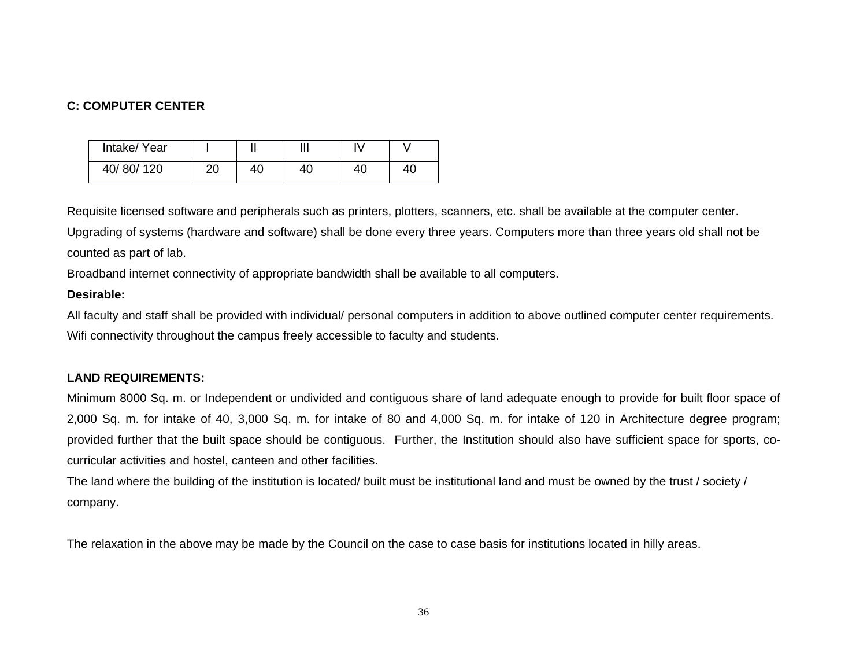# **C: COMPUTER CENTER**

| Intake/ Year |          |    | ш  |    |    |
|--------------|----------|----|----|----|----|
| 40/80/120    | ററ<br>∠∪ | 40 | 40 | 40 | 40 |

Requisite licensed software and peripherals such as printers, plotters, scanners, etc. shall be available at the computer center.

Upgrading of systems (hardware and software) shall be done every three years. Computers more than three years old shall not be counted as part of lab.

Broadband internet connectivity of appropriate bandwidth shall be available to all computers.

## **Desirable:**

All faculty and staff shall be provided with individual/ personal computers in addition to above outlined computer center requirements. Wifi connectivity throughout the campus freely accessible to faculty and students.

# **LAND REQUIREMENTS:**

Minimum 8000 Sq. m. or Independent or undivided and contiguous share of land adequate enough to provide for built floor space of 2,000 Sq. m. for intake of 40, 3,000 Sq. m. for intake of 80 and 4,000 Sq. m. for intake of 120 in Architecture degree program; provided further that the built space should be contiguous. Further, the Institution should also have sufficient space for sports, cocurricular activities and hostel, canteen and other facilities.

The land where the building of the institution is located/ built must be institutional land and must be owned by the trust / society / company.

The relaxation in the above may be made by the Council on the case to case basis for institutions located in hilly areas.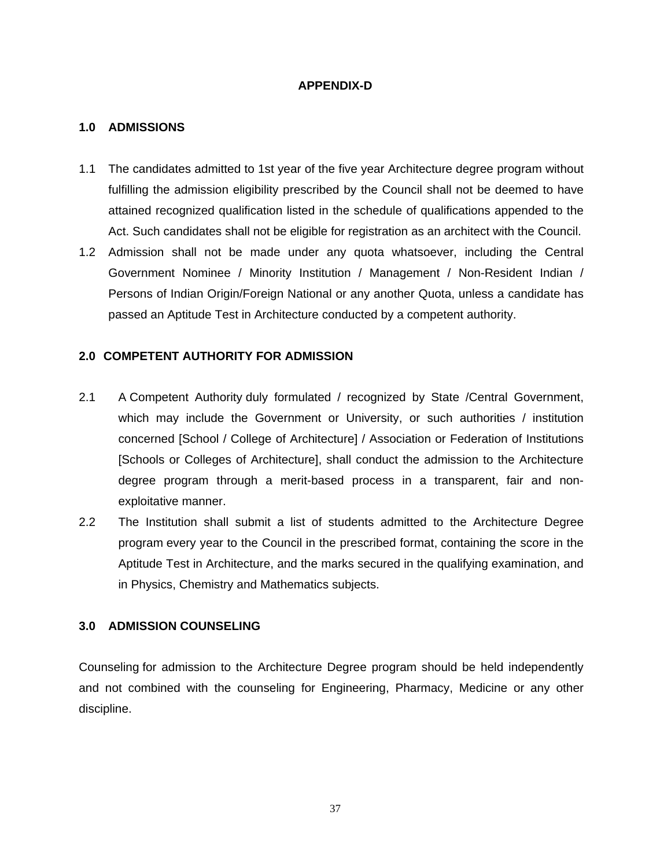### **APPENDIX-D**

## **1.0 ADMISSIONS**

- 1.1 The candidates admitted to 1st year of the five year Architecture degree program without fulfilling the admission eligibility prescribed by the Council shall not be deemed to have attained recognized qualification listed in the schedule of qualifications appended to the Act. Such candidates shall not be eligible for registration as an architect with the Council.
- 1.2 Admission shall not be made under any quota whatsoever, including the Central Government Nominee / Minority Institution / Management / Non-Resident Indian / Persons of Indian Origin/Foreign National or any another Quota, unless a candidate has passed an Aptitude Test in Architecture conducted by a competent authority.

## **2.0 COMPETENT AUTHORITY FOR ADMISSION**

- 2.1 A Competent Authority duly formulated / recognized by State /Central Government, which may include the Government or University, or such authorities / institution concerned [School / College of Architecture] / Association or Federation of Institutions [Schools or Colleges of Architecture], shall conduct the admission to the Architecture degree program through a merit-based process in a transparent, fair and nonexploitative manner.
- 2.2 The Institution shall submit a list of students admitted to the Architecture Degree program every year to the Council in the prescribed format, containing the score in the Aptitude Test in Architecture, and the marks secured in the qualifying examination, and in Physics, Chemistry and Mathematics subjects.

# **3.0 ADMISSION COUNSELING**

Counseling for admission to the Architecture Degree program should be held independently and not combined with the counseling for Engineering, Pharmacy, Medicine or any other discipline.